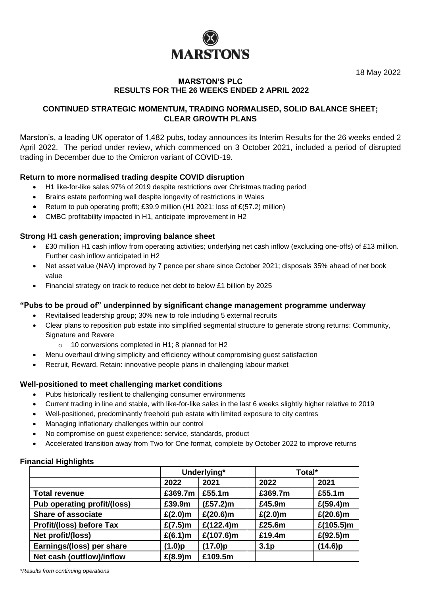

18 May 2022

## **MARSTON'S PLC RESULTS FOR THE 26 WEEKS ENDED 2 APRIL 2022**

## **CONTINUED STRATEGIC MOMENTUM, TRADING NORMALISED, SOLID BALANCE SHEET; CLEAR GROWTH PLANS**

Marston's, a leading UK operator of 1,482 pubs, today announces its Interim Results for the 26 weeks ended 2 April 2022. The period under review, which commenced on 3 October 2021, included a period of disrupted trading in December due to the Omicron variant of COVID-19.

## **Return to more normalised trading despite COVID disruption**

- H1 like-for-like sales 97% of 2019 despite restrictions over Christmas trading period
- Brains estate performing well despite longevity of restrictions in Wales
- Return to pub operating profit; £39.9 million (H1 2021: loss of  $E(57.2)$  million)
- CMBC profitability impacted in H1, anticipate improvement in H2

## **Strong H1 cash generation; improving balance sheet**

- £30 million H1 cash inflow from operating activities; underlying net cash inflow (excluding one-offs) of £13 million. Further cash inflow anticipated in H2
- Net asset value (NAV) improved by 7 pence per share since October 2021; disposals 35% ahead of net book value
- Financial strategy on track to reduce net debt to below £1 billion by 2025

## **"Pubs to be proud of" underpinned by significant change management programme underway**

- Revitalised leadership group; 30% new to role including 5 external recruits
- Clear plans to reposition pub estate into simplified segmental structure to generate strong returns: Community, Signature and Revere
	- o 10 conversions completed in H1; 8 planned for H2
- Menu overhaul driving simplicity and efficiency without compromising guest satisfaction
- Recruit, Reward, Retain: innovative people plans in challenging labour market

## **Well-positioned to meet challenging market conditions**

- Pubs historically resilient to challenging consumer environments
- Current trading in line and stable, with like-for-like sales in the last 6 weeks slightly higher relative to 2019
- Well-positioned, predominantly freehold pub estate with limited exposure to city centres
- Managing inflationary challenges within our control
- No compromise on guest experience: service, standards, product
- Accelerated transition away from Two for One format, complete by October 2022 to improve returns

## **Financial Highlights**

|                             |            | Underlying*   | Total*           |               |  |
|-----------------------------|------------|---------------|------------------|---------------|--|
|                             | 2022       | 2021          | 2022             | 2021          |  |
| <b>Total revenue</b>        | £369.7m    | £55.1m        | £369.7m          | £55.1m        |  |
| Pub operating profit/(loss) | £39.9m     | $(E57.2)$ m   | £45.9m           | £ $(59.4)$ m  |  |
| <b>Share of associate</b>   | $£(2.0)$ m | $£(20.6)$ m   | $£(2.0)$ m       | $£(20.6)$ m   |  |
| Profit/(loss) before Tax    | $£(7.5)$ m | £ $(122.4)$ m | £25.6m           | £ $(105.5)$ m |  |
| Net profit/(loss)           | £(6.1)m    | £ $(107.6)$ m | £19.4m           | £ $(92.5)$ m  |  |
| Earnings/(loss) per share   | (1.0)p     | (17.0)p       | 3.1 <sub>p</sub> | (14.6)p       |  |
| Net cash (outflow)/inflow   | $£(8.9)$ m | £109.5m       |                  |               |  |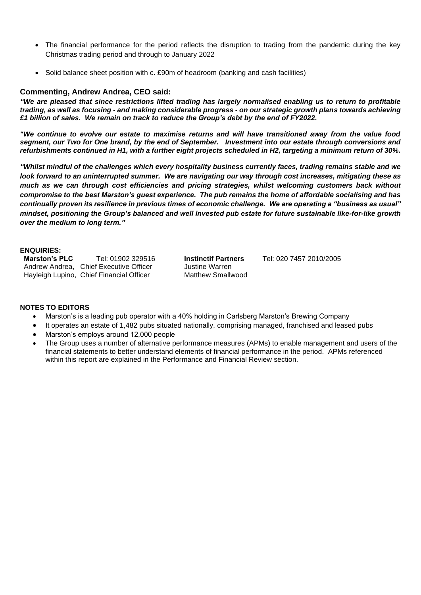- The financial performance for the period reflects the disruption to trading from the pandemic during the key Christmas trading period and through to January 2022
- Solid balance sheet position with c. £90m of headroom (banking and cash facilities)

### **Commenting, Andrew Andrea, CEO said:**

*"We are pleased that since restrictions lifted trading has largely normalised enabling us to return to profitable trading, as well as focusing - and making considerable progress - on our strategic growth plans towards achieving £1 billion of sales. We remain on track to reduce the Group's debt by the end of FY2022.*

*"We continue to evolve our estate to maximise returns and will have transitioned away from the value food segment, our Two for One brand, by the end of September. Investment into our estate through conversions and refurbishments continued in H1, with a further eight projects scheduled in H2, targeting a minimum return of 30%.*

*"Whilst mindful of the challenges which every hospitality business currently faces, trading remains stable and we look forward to an uninterrupted summer. We are navigating our way through cost increases, mitigating these as much as we can through cost efficiencies and pricing strategies, whilst welcoming customers back without compromise to the best Marston's guest experience. The pub remains the home of affordable socialising and has continually proven its resilience in previous times of economic challenge. We are operating a "business as usual" mindset, positioning the Group's balanced and well invested pub estate for future sustainable like-for-like growth over the medium to long term."*

# **ENQUIRIES:**

Andrew Andrea, Chief Executive Officer Hayleigh Lupino, Chief Financial Officer Matthew Smallwood

**Marston's PLC** Tel: 01902 329516 **Instinctif Partners** Tel: 020 7457 2010/2005

#### **NOTES TO EDITORS**

- Marston's is a leading pub operator with a 40% holding in Carlsberg Marston's Brewing Company
- It operates an estate of 1,482 pubs situated nationally, comprising managed, franchised and leased pubs
- Marston's employs around 12,000 people
- The Group uses a number of alternative performance measures (APMs) to enable management and users of the financial statements to better understand elements of financial performance in the period. APMs referenced within this report are explained in the Performance and Financial Review section.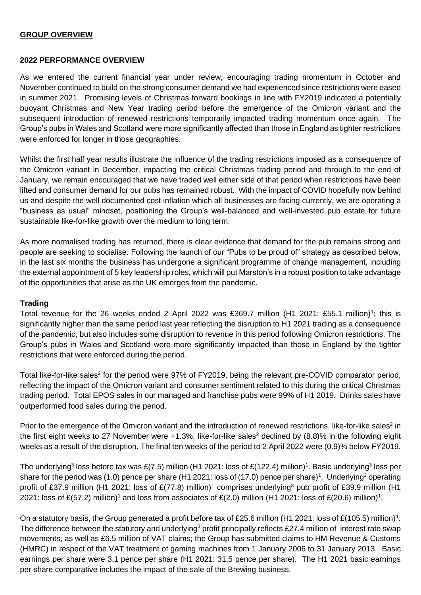## **GROUP OVERVIEW**

## **2022 PERFORMANCE OVERVIEW**

As we entered the current financial year under review, encouraging trading momentum in October and November continued to build on the strong consumer demand we had experienced since restrictions were eased in summer 2021. Promising levels of Christmas forward bookings in line with FY2019 indicated a potentially buoyant Christmas and New Year trading period before the emergence of the Omicron variant and the subsequent introduction of renewed restrictions temporarily impacted trading momentum once again. The Group's pubs in Wales and Scotland were more significantly affected than those in England as tighter restrictions were enforced for longer in those geographies.

Whilst the first half year results illustrate the influence of the trading restrictions imposed as a consequence of the Omicron variant in December, impacting the critical Christmas trading period and through to the end of January, we remain encouraged that we have traded well either side of that period when restrictions have been lifted and consumer demand for our pubs has remained robust. With the impact of COVID hopefully now behind us and despite the well documented cost inflation which all businesses are facing currently, we are operating a "business as usual" mindset, positioning the Group's well-balanced and well-invested pub estate for future sustainable like-for-like growth over the medium to long term.

As more normalised trading has returned, there is clear evidence that demand for the pub remains strong and people are seeking to socialise. Following the launch of our "Pubs to be proud of" strategy as described below, in the last six months the business has undergone a significant programme of change management, including the external appointment of 5 key leadership roles, which will put Marston's in a robust position to take advantage of the opportunities that arise as the UK emerges from the pandemic.

## **Trading**

Total revenue for the 26 weeks ended 2 April 2022 was £369.7 million (H1 2021: £55.1 million)<sup>1</sup>; this is significantly higher than the same period last year reflecting the disruption to H1 2021 trading as a consequence of the pandemic, but also includes some disruption to revenue in this period following Omicron restrictions. The Group's pubs in Wales and Scotland were more significantly impacted than those in England by the tighter restrictions that were enforced during the period.

Total like-for-like sales<sup>2</sup> for the period were 97% of FY2019, being the relevant pre-COVID comparator period, reflecting the impact of the Omicron variant and consumer sentiment related to this during the critical Christmas trading period. Total EPOS sales in our managed and franchise pubs were 99% of H1 2019. Drinks sales have outperformed food sales during the period.

Prior to the emergence of the Omicron variant and the introduction of renewed restrictions, like-for-like sales<sup>2</sup> in the first eight weeks to 27 November were  $+1.3\%$ , like-for-like sales<sup>2</sup> declined by (8.8)% in the following eight weeks as a result of the disruption. The final ten weeks of the period to 2 April 2022 were (0.9)% below FY2019.

The underlying<sup>3</sup> loss before tax was £(7.5) million (H1 2021: loss of £(122.4) million)<sup>1</sup>. Basic underlying<sup>3</sup> loss per share for the period was (1.0) pence per share (H1 2021: loss of (17.0) pence per share)<sup>1</sup>. Underlying<sup>3</sup> operating profit of £37.9 million (H1 2021: loss of £(77.8) million)<sup>1</sup> comprises underlying<sup>3</sup> pub profit of £39.9 million (H1 2021: loss of £(57.2) million)<sup>1</sup> and loss from associates of £(2.0) million (H1 2021: loss of £(20.6) million)<sup>1</sup>.

On a statutory basis, the Group generated a profit before tax of £25.6 million (H1 2021: loss of £(105.5) million)<sup>1</sup>. The difference between the statutory and underlying<sup>3</sup> profit principally reflects £27.4 million of interest rate swap movements, as well as £6.5 million of VAT claims; the Group has submitted claims to HM Revenue & Customs (HMRC) in respect of the VAT treatment of gaming machines from 1 January 2006 to 31 January 2013. Basic earnings per share were 3.1 pence per share (H1 2021: 31.5 pence per share). The H1 2021 basic earnings per share comparative includes the impact of the sale of the Brewing business.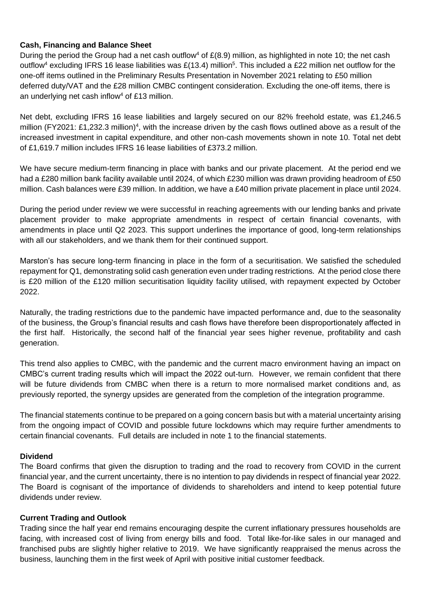## **Cash, Financing and Balance Sheet**

During the period the Group had a net cash outflow<sup>4</sup> of  $E(8.9)$  million, as highlighted in note 10; the net cash outflow<sup>4</sup> excluding IFRS 16 lease liabilities was £(13.4) million<sup>5</sup>. This included a £22 million net outflow for the one-off items outlined in the Preliminary Results Presentation in November 2021 relating to £50 million deferred duty/VAT and the £28 million CMBC contingent consideration. Excluding the one-off items, there is an underlying net cash inflow<sup>4</sup> of £13 million.

Net debt, excluding IFRS 16 lease liabilities and largely secured on our 82% freehold estate, was £1,246.5 million (FY2021: £1,232.3 million)<sup>4</sup>, with the increase driven by the cash flows outlined above as a result of the increased investment in capital expenditure, and other non-cash movements shown in note 10. Total net debt of £1,619.7 million includes IFRS 16 lease liabilities of £373.2 million.

We have secure medium-term financing in place with banks and our private placement. At the period end we had a £280 million bank facility available until 2024, of which £230 million was drawn providing headroom of £50 million. Cash balances were £39 million. In addition, we have a £40 million private placement in place until 2024.

During the period under review we were successful in reaching agreements with our lending banks and private placement provider to make appropriate amendments in respect of certain financial covenants, with amendments in place until Q2 2023. This support underlines the importance of good, long-term relationships with all our stakeholders, and we thank them for their continued support.

Marston's has secure long-term financing in place in the form of a securitisation. We satisfied the scheduled repayment for Q1, demonstrating solid cash generation even under trading restrictions. At the period close there is £20 million of the £120 million securitisation liquidity facility utilised, with repayment expected by October 2022.

Naturally, the trading restrictions due to the pandemic have impacted performance and, due to the seasonality of the business, the Group's financial results and cash flows have therefore been disproportionately affected in the first half. Historically, the second half of the financial year sees higher revenue, profitability and cash generation.

This trend also applies to CMBC, with the pandemic and the current macro environment having an impact on CMBC's current trading results which will impact the 2022 out-turn. However, we remain confident that there will be future dividends from CMBC when there is a return to more normalised market conditions and, as previously reported, the synergy upsides are generated from the completion of the integration programme.

The financial statements continue to be prepared on a going concern basis but with a material uncertainty arising from the ongoing impact of COVID and possible future lockdowns which may require further amendments to certain financial covenants. Full details are included in note 1 to the financial statements.

## **Dividend**

The Board confirms that given the disruption to trading and the road to recovery from COVID in the current financial year, and the current uncertainty, there is no intention to pay dividends in respect of financial year 2022. The Board is cognisant of the importance of dividends to shareholders and intend to keep potential future dividends under review.

## **Current Trading and Outlook**

Trading since the half year end remains encouraging despite the current inflationary pressures households are facing, with increased cost of living from energy bills and food. Total like-for-like sales in our managed and franchised pubs are slightly higher relative to 2019. We have significantly reappraised the menus across the business, launching them in the first week of April with positive initial customer feedback.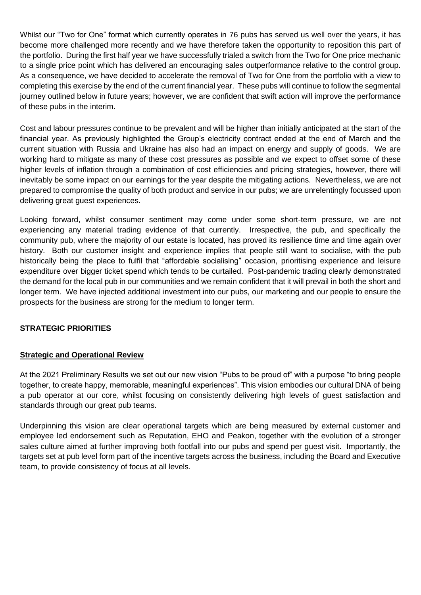Whilst our "Two for One" format which currently operates in 76 pubs has served us well over the years, it has become more challenged more recently and we have therefore taken the opportunity to reposition this part of the portfolio. During the first half year we have successfully trialed a switch from the Two for One price mechanic to a single price point which has delivered an encouraging sales outperformance relative to the control group. As a consequence, we have decided to accelerate the removal of Two for One from the portfolio with a view to completing this exercise by the end of the current financial year. These pubs will continue to follow the segmental journey outlined below in future years; however, we are confident that swift action will improve the performance of these pubs in the interim.

Cost and labour pressures continue to be prevalent and will be higher than initially anticipated at the start of the financial year. As previously highlighted the Group's electricity contract ended at the end of March and the current situation with Russia and Ukraine has also had an impact on energy and supply of goods. We are working hard to mitigate as many of these cost pressures as possible and we expect to offset some of these higher levels of inflation through a combination of cost efficiencies and pricing strategies, however, there will inevitably be some impact on our earnings for the year despite the mitigating actions. Nevertheless, we are not prepared to compromise the quality of both product and service in our pubs; we are unrelentingly focussed upon delivering great guest experiences.

Looking forward, whilst consumer sentiment may come under some short-term pressure, we are not experiencing any material trading evidence of that currently. Irrespective, the pub, and specifically the community pub, where the majority of our estate is located, has proved its resilience time and time again over history. Both our customer insight and experience implies that people still want to socialise, with the pub historically being the place to fulfil that "affordable socialising" occasion, prioritising experience and leisure expenditure over bigger ticket spend which tends to be curtailed. Post-pandemic trading clearly demonstrated the demand for the local pub in our communities and we remain confident that it will prevail in both the short and longer term. We have injected additional investment into our pubs, our marketing and our people to ensure the prospects for the business are strong for the medium to longer term.

## **STRATEGIC PRIORITIES**

## **Strategic and Operational Review**

At the 2021 Preliminary Results we set out our new vision "Pubs to be proud of" with a purpose "to bring people together, to create happy, memorable, meaningful experiences". This vision embodies our cultural DNA of being a pub operator at our core, whilst focusing on consistently delivering high levels of guest satisfaction and standards through our great pub teams.

Underpinning this vision are clear operational targets which are being measured by external customer and employee led endorsement such as Reputation, EHO and Peakon, together with the evolution of a stronger sales culture aimed at further improving both footfall into our pubs and spend per guest visit. Importantly, the targets set at pub level form part of the incentive targets across the business, including the Board and Executive team, to provide consistency of focus at all levels.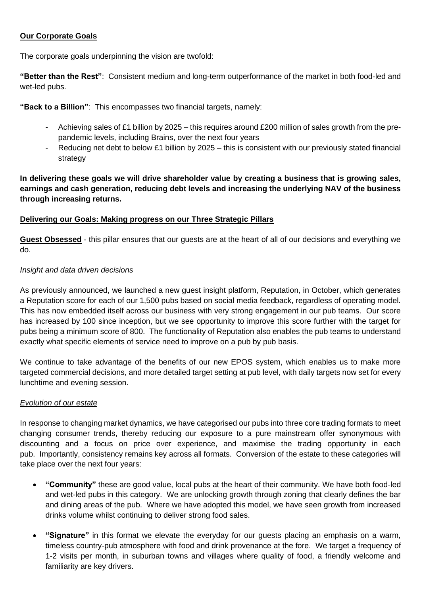## **Our Corporate Goals**

The corporate goals underpinning the vision are twofold:

**"Better than the Rest"**: Consistent medium and long-term outperformance of the market in both food-led and wet-led pubs.

**"Back to a Billion"**: This encompasses two financial targets, namely:

- Achieving sales of £1 billion by 2025 this requires around £200 million of sales growth from the prepandemic levels, including Brains, over the next four years
- Reducing net debt to below £1 billion by 2025 this is consistent with our previously stated financial strategy

**In delivering these goals we will drive shareholder value by creating a business that is growing sales, earnings and cash generation, reducing debt levels and increasing the underlying NAV of the business through increasing returns.** 

## **Delivering our Goals: Making progress on our Three Strategic Pillars**

**Guest Obsessed** - this pillar ensures that our guests are at the heart of all of our decisions and everything we do.

## *Insight and data driven decisions*

As previously announced, we launched a new guest insight platform, Reputation, in October, which generates a Reputation score for each of our 1,500 pubs based on social media feedback, regardless of operating model. This has now embedded itself across our business with very strong engagement in our pub teams. Our score has increased by 100 since inception, but we see opportunity to improve this score further with the target for pubs being a minimum score of 800. The functionality of Reputation also enables the pub teams to understand exactly what specific elements of service need to improve on a pub by pub basis.

We continue to take advantage of the benefits of our new EPOS system, which enables us to make more targeted commercial decisions, and more detailed target setting at pub level, with daily targets now set for every lunchtime and evening session.

## *Evolution of our estate*

In response to changing market dynamics, we have categorised our pubs into three core trading formats to meet changing consumer trends, thereby reducing our exposure to a pure mainstream offer synonymous with discounting and a focus on price over experience, and maximise the trading opportunity in each pub. Importantly, consistency remains key across all formats. Conversion of the estate to these categories will take place over the next four years:

- **"Community"** these are good value, local pubs at the heart of their community. We have both food-led and wet-led pubs in this category. We are unlocking growth through zoning that clearly defines the bar and dining areas of the pub. Where we have adopted this model, we have seen growth from increased drinks volume whilst continuing to deliver strong food sales.
- **"Signature"** in this format we elevate the everyday for our guests placing an emphasis on a warm, timeless country-pub atmosphere with food and drink provenance at the fore. We target a frequency of 1-2 visits per month, in suburban towns and villages where quality of food, a friendly welcome and familiarity are key drivers.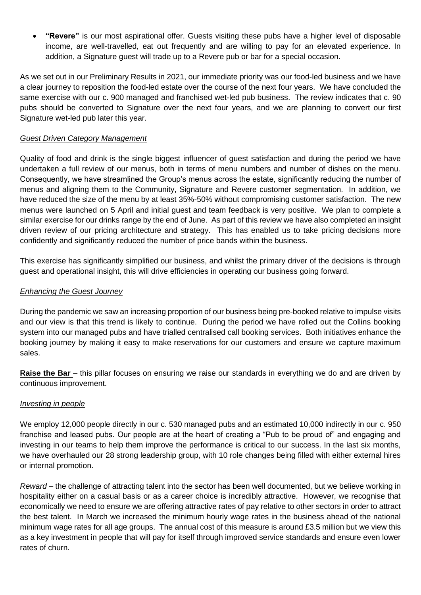• **"Revere"** is our most aspirational offer. Guests visiting these pubs have a higher level of disposable income, are well-travelled, eat out frequently and are willing to pay for an elevated experience. In addition, a Signature guest will trade up to a Revere pub or bar for a special occasion.

As we set out in our Preliminary Results in 2021, our immediate priority was our food-led business and we have a clear journey to reposition the food-led estate over the course of the next four years. We have concluded the same exercise with our c. 900 managed and franchised wet-led pub business. The review indicates that c. 90 pubs should be converted to Signature over the next four years, and we are planning to convert our first Signature wet-led pub later this year.

## *Guest Driven Category Management*

Quality of food and drink is the single biggest influencer of guest satisfaction and during the period we have undertaken a full review of our menus, both in terms of menu numbers and number of dishes on the menu. Consequently, we have streamlined the Group's menus across the estate, significantly reducing the number of menus and aligning them to the Community, Signature and Revere customer segmentation. In addition, we have reduced the size of the menu by at least 35%-50% without compromising customer satisfaction. The new menus were launched on 5 April and initial guest and team feedback is very positive. We plan to complete a similar exercise for our drinks range by the end of June. As part of this review we have also completed an insight driven review of our pricing architecture and strategy. This has enabled us to take pricing decisions more confidently and significantly reduced the number of price bands within the business.

This exercise has significantly simplified our business, and whilst the primary driver of the decisions is through guest and operational insight, this will drive efficiencies in operating our business going forward.

## *Enhancing the Guest Journey*

During the pandemic we saw an increasing proportion of our business being pre-booked relative to impulse visits and our view is that this trend is likely to continue. During the period we have rolled out the Collins booking system into our managed pubs and have trialled centralised call booking services. Both initiatives enhance the booking journey by making it easy to make reservations for our customers and ensure we capture maximum sales.

**Raise the Bar** – this pillar focuses on ensuring we raise our standards in everything we do and are driven by continuous improvement.

## *Investing in people*

We employ 12,000 people directly in our c. 530 managed pubs and an estimated 10,000 indirectly in our c. 950 franchise and leased pubs. Our people are at the heart of creating a "Pub to be proud of" and engaging and investing in our teams to help them improve the performance is critical to our success. In the last six months, we have overhauled our 28 strong leadership group, with 10 role changes being filled with either external hires or internal promotion.

*Reward* – the challenge of attracting talent into the sector has been well documented, but we believe working in hospitality either on a casual basis or as a career choice is incredibly attractive. However, we recognise that economically we need to ensure we are offering attractive rates of pay relative to other sectors in order to attract the best talent. In March we increased the minimum hourly wage rates in the business ahead of the national minimum wage rates for all age groups. The annual cost of this measure is around £3.5 million but we view this as a key investment in people that will pay for itself through improved service standards and ensure even lower rates of churn.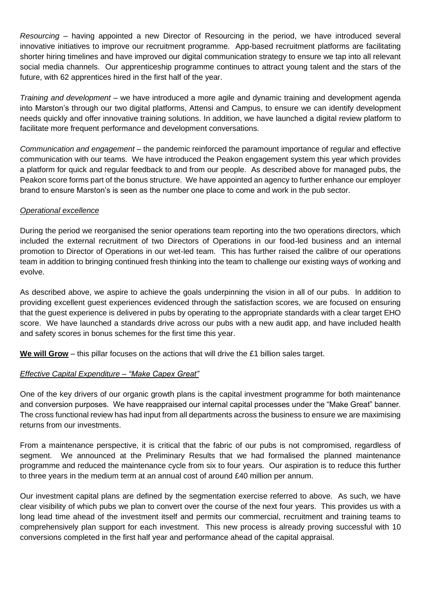*Resourcing* – having appointed a new Director of Resourcing in the period, we have introduced several innovative initiatives to improve our recruitment programme. App-based recruitment platforms are facilitating shorter hiring timelines and have improved our digital communication strategy to ensure we tap into all relevant social media channels. Our apprenticeship programme continues to attract young talent and the stars of the future, with 62 apprentices hired in the first half of the year.

*Training and development* – we have introduced a more agile and dynamic training and development agenda into Marston's through our two digital platforms, Attensi and Campus, to ensure we can identify development needs quickly and offer innovative training solutions. In addition, we have launched a digital review platform to facilitate more frequent performance and development conversations.

*Communication and engagement* – the pandemic reinforced the paramount importance of regular and effective communication with our teams. We have introduced the Peakon engagement system this year which provides a platform for quick and regular feedback to and from our people. As described above for managed pubs, the Peakon score forms part of the bonus structure. We have appointed an agency to further enhance our employer brand to ensure Marston's is seen as the number one place to come and work in the pub sector.

## *Operational excellence*

During the period we reorganised the senior operations team reporting into the two operations directors, which included the external recruitment of two Directors of Operations in our food-led business and an internal promotion to Director of Operations in our wet-led team. This has further raised the calibre of our operations team in addition to bringing continued fresh thinking into the team to challenge our existing ways of working and evolve.

As described above, we aspire to achieve the goals underpinning the vision in all of our pubs. In addition to providing excellent guest experiences evidenced through the satisfaction scores, we are focused on ensuring that the guest experience is delivered in pubs by operating to the appropriate standards with a clear target EHO score. We have launched a standards drive across our pubs with a new audit app, and have included health and safety scores in bonus schemes for the first time this year.

**We will Grow** – this pillar focuses on the actions that will drive the £1 billion sales target.

## *Effective Capital Expenditure – "Make Capex Great"*

One of the key drivers of our organic growth plans is the capital investment programme for both maintenance and conversion purposes. We have reappraised our internal capital processes under the "Make Great" banner. The cross functional review has had input from all departments across the business to ensure we are maximising returns from our investments.

From a maintenance perspective, it is critical that the fabric of our pubs is not compromised, regardless of segment. We announced at the Preliminary Results that we had formalised the planned maintenance programme and reduced the maintenance cycle from six to four years. Our aspiration is to reduce this further to three years in the medium term at an annual cost of around £40 million per annum.

Our investment capital plans are defined by the segmentation exercise referred to above. As such, we have clear visibility of which pubs we plan to convert over the course of the next four years. This provides us with a long lead time ahead of the investment itself and permits our commercial, recruitment and training teams to comprehensively plan support for each investment. This new process is already proving successful with 10 conversions completed in the first half year and performance ahead of the capital appraisal.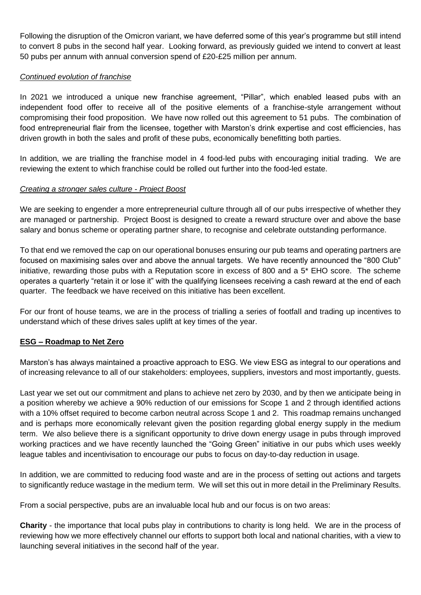Following the disruption of the Omicron variant, we have deferred some of this year's programme but still intend to convert 8 pubs in the second half year. Looking forward, as previously guided we intend to convert at least 50 pubs per annum with annual conversion spend of £20-£25 million per annum.

## *Continued evolution of franchise*

In 2021 we introduced a unique new franchise agreement, "Pillar", which enabled leased pubs with an independent food offer to receive all of the positive elements of a franchise-style arrangement without compromising their food proposition. We have now rolled out this agreement to 51 pubs. The combination of food entrepreneurial flair from the licensee, together with Marston's drink expertise and cost efficiencies, has driven growth in both the sales and profit of these pubs, economically benefitting both parties.

In addition, we are trialling the franchise model in 4 food-led pubs with encouraging initial trading. We are reviewing the extent to which franchise could be rolled out further into the food-led estate.

## *Creating a stronger sales culture - Project Boost*

We are seeking to engender a more entrepreneurial culture through all of our pubs irrespective of whether they are managed or partnership. Project Boost is designed to create a reward structure over and above the base salary and bonus scheme or operating partner share, to recognise and celebrate outstanding performance.

To that end we removed the cap on our operational bonuses ensuring our pub teams and operating partners are focused on maximising sales over and above the annual targets. We have recently announced the "800 Club" initiative, rewarding those pubs with a Reputation score in excess of 800 and a 5\* EHO score. The scheme operates a quarterly "retain it or lose it" with the qualifying licensees receiving a cash reward at the end of each quarter. The feedback we have received on this initiative has been excellent.

For our front of house teams, we are in the process of trialling a series of footfall and trading up incentives to understand which of these drives sales uplift at key times of the year.

## **ESG – Roadmap to Net Zero**

Marston's has always maintained a proactive approach to ESG. We view ESG as integral to our operations and of increasing relevance to all of our stakeholders: employees, suppliers, investors and most importantly, guests.

Last year we set out our commitment and plans to achieve net zero by 2030, and by then we anticipate being in a position whereby we achieve a 90% reduction of our emissions for Scope 1 and 2 through identified actions with a 10% offset required to become carbon neutral across Scope 1 and 2. This roadmap remains unchanged and is perhaps more economically relevant given the position regarding global energy supply in the medium term. We also believe there is a significant opportunity to drive down energy usage in pubs through improved working practices and we have recently launched the "Going Green" initiative in our pubs which uses weekly league tables and incentivisation to encourage our pubs to focus on day-to-day reduction in usage.

In addition, we are committed to reducing food waste and are in the process of setting out actions and targets to significantly reduce wastage in the medium term. We will set this out in more detail in the Preliminary Results.

From a social perspective, pubs are an invaluable local hub and our focus is on two areas:

**Charity** - the importance that local pubs play in contributions to charity is long held. We are in the process of reviewing how we more effectively channel our efforts to support both local and national charities, with a view to launching several initiatives in the second half of the year.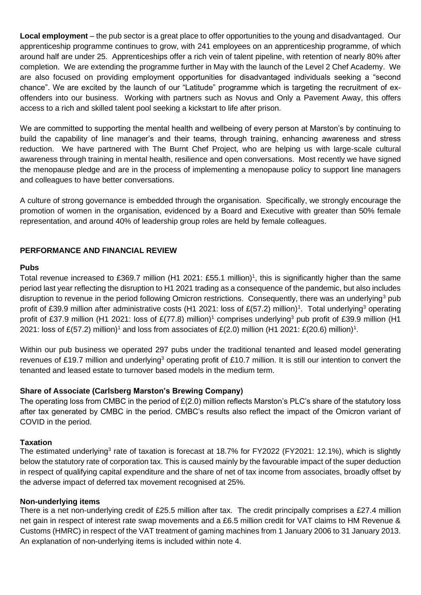**Local employment** – the pub sector is a great place to offer opportunities to the young and disadvantaged. Our apprenticeship programme continues to grow, with 241 employees on an apprenticeship programme, of which around half are under 25. Apprenticeships offer a rich vein of talent pipeline, with retention of nearly 80% after completion. We are extending the programme further in May with the launch of the Level 2 Chef Academy. We are also focused on providing employment opportunities for disadvantaged individuals seeking a "second chance". We are excited by the launch of our "Latitude" programme which is targeting the recruitment of exoffenders into our business. Working with partners such as Novus and Only a Pavement Away, this offers access to a rich and skilled talent pool seeking a kickstart to life after prison.

We are committed to supporting the mental health and wellbeing of every person at Marston's by continuing to build the capability of line manager's and their teams, through training, enhancing awareness and stress reduction. We have partnered with The Burnt Chef Project, who are helping us with large-scale cultural awareness through training in mental health, resilience and open conversations. Most recently we have signed the menopause pledge and are in the process of implementing a menopause policy to support line managers and colleagues to have better conversations.

A culture of strong governance is embedded through the organisation. Specifically, we strongly encourage the promotion of women in the organisation, evidenced by a Board and Executive with greater than 50% female representation, and around 40% of leadership group roles are held by female colleagues.

## **PERFORMANCE AND FINANCIAL REVIEW**

### **Pubs**

Total revenue increased to £369.7 million (H1 2021: £55.1 million)<sup>1</sup>, this is significantly higher than the same period last year reflecting the disruption to H1 2021 trading as a consequence of the pandemic, but also includes disruption to revenue in the period following Omicron restrictions. Consequently, there was an underlying<sup>3</sup> pub profit of £39.9 million after administrative costs (H1 2021: loss of £(57.2) million)<sup>1</sup>. Total underlying<sup>3</sup> operating profit of £37.9 million (H1 2021: loss of  $E(77.8)$  million)<sup>1</sup> comprises underlying<sup>3</sup> pub profit of £39.9 million (H1 2021: loss of £(57.2) million)<sup>1</sup> and loss from associates of £(2.0) million (H1 2021: £(20.6) million)<sup>1</sup>.

Within our pub business we operated 297 pubs under the traditional tenanted and leased model generating revenues of £19.7 million and underlying<sup>3</sup> operating profit of £10.7 million. It is still our intention to convert the tenanted and leased estate to turnover based models in the medium term.

## **Share of Associate (Carlsberg Marston's Brewing Company)**

The operating loss from CMBC in the period of  $E(2.0)$  million reflects Marston's PLC's share of the statutory loss after tax generated by CMBC in the period. CMBC's results also reflect the impact of the Omicron variant of COVID in the period.

## **Taxation**

The estimated underlying<sup>3</sup> rate of taxation is forecast at 18.7% for FY2022 (FY2021: 12.1%), which is slightly below the statutory rate of corporation tax. This is caused mainly by the favourable impact of the super deduction in respect of qualifying capital expenditure and the share of net of tax income from associates, broadly offset by the adverse impact of deferred tax movement recognised at 25%.

## **Non-underlying items**

There is a net non-underlying credit of £25.5 million after tax. The credit principally comprises a £27.4 million net gain in respect of interest rate swap movements and a £6.5 million credit for VAT claims to HM Revenue & Customs (HMRC) in respect of the VAT treatment of gaming machines from 1 January 2006 to 31 January 2013. An explanation of non-underlying items is included within note 4.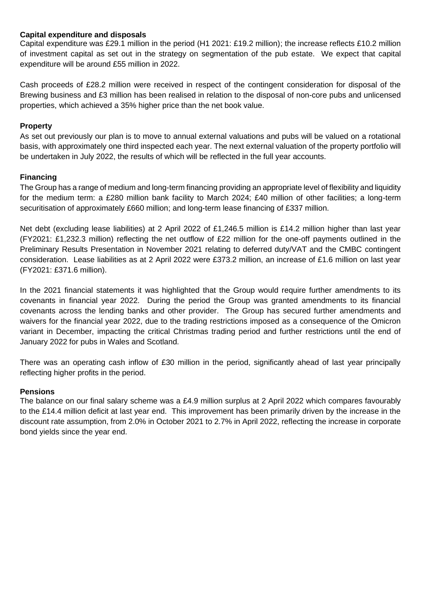## **Capital expenditure and disposals**

Capital expenditure was £29.1 million in the period (H1 2021: £19.2 million); the increase reflects £10.2 million of investment capital as set out in the strategy on segmentation of the pub estate. We expect that capital expenditure will be around £55 million in 2022.

Cash proceeds of £28.2 million were received in respect of the contingent consideration for disposal of the Brewing business and £3 million has been realised in relation to the disposal of non-core pubs and unlicensed properties, which achieved a 35% higher price than the net book value.

## **Property**

As set out previously our plan is to move to annual external valuations and pubs will be valued on a rotational basis, with approximately one third inspected each year. The next external valuation of the property portfolio will be undertaken in July 2022, the results of which will be reflected in the full year accounts.

## **Financing**

The Group has a range of medium and long-term financing providing an appropriate level of flexibility and liquidity for the medium term: a £280 million bank facility to March 2024; £40 million of other facilities; a long-term securitisation of approximately £660 million; and long-term lease financing of £337 million.

Net debt (excluding lease liabilities) at 2 April 2022 of £1,246.5 million is £14.2 million higher than last year (FY2021: £1,232.3 million) reflecting the net outflow of £22 million for the one-off payments outlined in the Preliminary Results Presentation in November 2021 relating to deferred duty/VAT and the CMBC contingent consideration. Lease liabilities as at 2 April 2022 were £373.2 million, an increase of £1.6 million on last year (FY2021: £371.6 million).

In the 2021 financial statements it was highlighted that the Group would require further amendments to its covenants in financial year 2022. During the period the Group was granted amendments to its financial covenants across the lending banks and other provider. The Group has secured further amendments and waivers for the financial year 2022, due to the trading restrictions imposed as a consequence of the Omicron variant in December, impacting the critical Christmas trading period and further restrictions until the end of January 2022 for pubs in Wales and Scotland.

There was an operating cash inflow of £30 million in the period, significantly ahead of last year principally reflecting higher profits in the period.

## **Pensions**

The balance on our final salary scheme was a £4.9 million surplus at 2 April 2022 which compares favourably to the £14.4 million deficit at last year end. This improvement has been primarily driven by the increase in the discount rate assumption, from 2.0% in October 2021 to 2.7% in April 2022, reflecting the increase in corporate bond yields since the year end.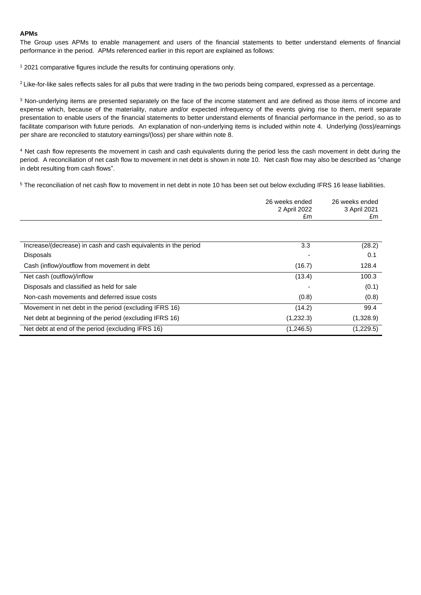#### **APMs**

The Group uses APMs to enable management and users of the financial statements to better understand elements of financial performance in the period. APMs referenced earlier in this report are explained as follows:

<sup>1</sup> 2021 comparative figures include the results for continuing operations only.

<sup>2</sup> Like-for-like sales reflects sales for all pubs that were trading in the two periods being compared, expressed as a percentage.

<sup>3</sup> Non-underlying items are presented separately on the face of the income statement and are defined as those items of income and expense which, because of the materiality, nature and/or expected infrequency of the events giving rise to them, merit separate presentation to enable users of the financial statements to better understand elements of financial performance in the period, so as to facilitate comparison with future periods. An explanation of non-underlying items is included within note 4. Underlying (loss)/earnings per share are reconciled to statutory earnings/(loss) per share within note 8.

<sup>4</sup> Net cash flow represents the movement in cash and cash equivalents during the period less the cash movement in debt during the period. A reconciliation of net cash flow to movement in net debt is shown in note 10. Net cash flow may also be described as "change in debt resulting from cash flows".

<sup>5</sup> The reconciliation of net cash flow to movement in net debt in note 10 has been set out below excluding IFRS 16 lease liabilities.

|                                                                | 26 weeks ended<br>2 April 2022<br>£m | 26 weeks ended<br>3 April 2021<br>£m |
|----------------------------------------------------------------|--------------------------------------|--------------------------------------|
|                                                                |                                      |                                      |
| Increase/(decrease) in cash and cash equivalents in the period | 3.3                                  | (28.2)                               |
| <b>Disposals</b>                                               |                                      | 0.1                                  |
| Cash (inflow)/outflow from movement in debt                    | (16.7)                               | 128.4                                |
| Net cash (outflow)/inflow                                      | (13.4)                               | 100.3                                |
| Disposals and classified as held for sale                      |                                      | (0.1)                                |
| Non-cash movements and deferred issue costs                    | (0.8)                                | (0.8)                                |
| Movement in net debt in the period (excluding IFRS 16)         | (14.2)                               | 99.4                                 |
| Net debt at beginning of the period (excluding IFRS 16)        | (1,232.3)                            | (1,328.9)                            |
| Net debt at end of the period (excluding IFRS 16)              | (1,246.5)                            | (1,229.5)                            |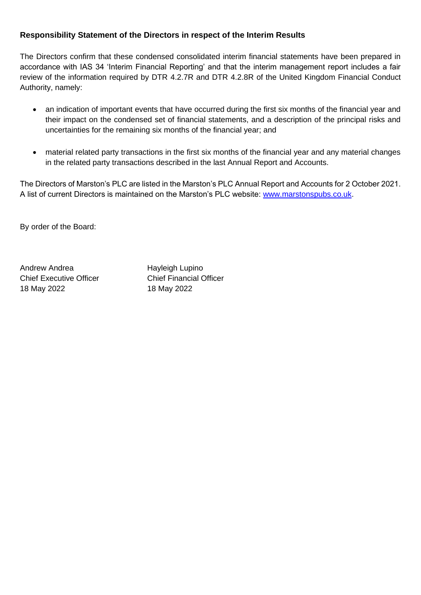## **Responsibility Statement of the Directors in respect of the Interim Results**

The Directors confirm that these condensed consolidated interim financial statements have been prepared in accordance with IAS 34 'Interim Financial Reporting' and that the interim management report includes a fair review of the information required by DTR 4.2.7R and DTR 4.2.8R of the United Kingdom Financial Conduct Authority, namely:

- an indication of important events that have occurred during the first six months of the financial year and their impact on the condensed set of financial statements, and a description of the principal risks and uncertainties for the remaining six months of the financial year; and
- material related party transactions in the first six months of the financial year and any material changes in the related party transactions described in the last Annual Report and Accounts.

The Directors of Marston's PLC are listed in the Marston's PLC Annual Report and Accounts for 2 October 2021. A list of current Directors is maintained on the Marston's PLC website: [www.marstonspubs.co.uk.](http://www.marstonspubs.co.uk/)

By order of the Board:

Andrew Andrea **Hayleigh Lupino** Chief Executive Officer Chief Financial Officer 18 May 2022 18 May 2022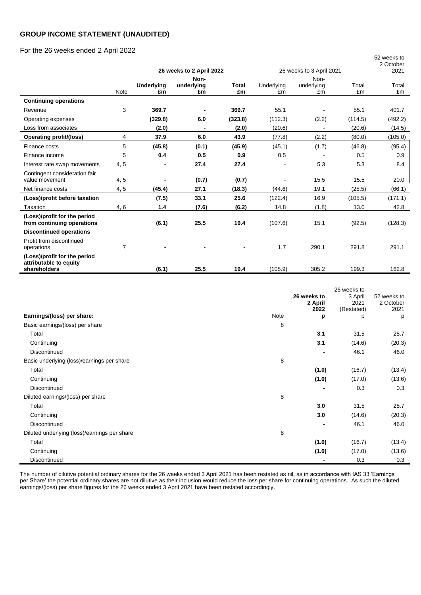#### **GROUP INCOME STATEMENT (UNAUDITED)**

### For the 26 weeks ended 2 April 2022

|                                                            |      |                         |                          |                    |                          |            |         | 52 weeks to<br>2 October |
|------------------------------------------------------------|------|-------------------------|--------------------------|--------------------|--------------------------|------------|---------|--------------------------|
|                                                            |      |                         | 26 weeks to 2 April 2022 |                    | 26 weeks to 3 April 2021 |            | 2021    |                          |
|                                                            |      |                         | Non-                     |                    |                          | Non-       |         |                          |
|                                                            |      | <b>Underlying</b><br>£m | underlying<br>£m         | <b>Total</b><br>£m | Underlying               | underlying | Total   | Total                    |
|                                                            | Note |                         |                          |                    | £m                       | £m         | £m      | £m                       |
| <b>Continuing operations</b>                               |      |                         |                          |                    |                          |            |         |                          |
| Revenue                                                    | 3    | 369.7                   |                          | 369.7              | 55.1                     |            | 55.1    | 401.7                    |
| Operating expenses                                         |      | (329.8)                 | 6.0                      | (323.8)            | (112.3)                  | (2.2)      | (114.5) | (492.2)                  |
| Loss from associates                                       |      | (2.0)                   | $\blacksquare$           | (2.0)              | (20.6)                   |            | (20.6)  | (14.5)                   |
| Operating profit/(loss)                                    | 4    | 37.9                    | 6.0                      | 43.9               | (77.8)                   | (2.2)      | (80.0)  | (105.0)                  |
| Finance costs                                              | 5    | (45.8)                  | (0.1)                    | (45.9)             | (45.1)                   | (1.7)      | (46.8)  | (95.4)                   |
| Finance income                                             | 5    | 0.4                     | 0.5                      | 0.9                | 0.5                      |            | 0.5     | 0.9                      |
| Interest rate swap movements                               | 4, 5 |                         | 27.4                     | 27.4               |                          | 5.3        | 5.3     | 8.4                      |
| Contingent consideration fair<br>value movement            | 4,5  |                         | (0.7)                    | (0.7)              |                          | 15.5       | 15.5    | 20.0                     |
| Net finance costs                                          | 4,5  | (45.4)                  | 27.1                     | (18.3)             | (44.6)                   | 19.1       | (25.5)  | (66.1)                   |
| (Loss)/profit before taxation                              |      | (7.5)                   | 33.1                     | 25.6               | (122.4)                  | 16.9       | (105.5) | (171.1)                  |
| Taxation                                                   | 4, 6 | 1.4                     | (7.6)                    | (6.2)              | 14.8                     | (1.8)      | 13.0    | 42.8                     |
| (Loss)/profit for the period<br>from continuing operations |      | (6.1)                   | 25.5                     | 19.4               | (107.6)                  | 15.1       | (92.5)  | (128.3)                  |
| <b>Discontinued operations</b>                             |      |                         |                          |                    |                          |            |         |                          |
| Profit from discontinued<br>operations                     | 7    |                         | ٠                        | $\blacksquare$     | 1.7                      | 290.1      | 291.8   | 291.1                    |
| (Loss)/profit for the period<br>attributable to equity     |      |                         |                          |                    |                          |            |         |                          |
| shareholders                                               |      | (6.1)                   | 25.5                     | 19.4               | (105.9)                  | 305.2      | 199.3   | 162.8                    |

|                                              |      | 26 weeks to<br>2 April<br>2022 | 26 weeks to<br>3 April<br>2021<br>(Restated) | 52 weeks to<br>2 October<br>2021 |
|----------------------------------------------|------|--------------------------------|----------------------------------------------|----------------------------------|
| Earnings/(loss) per share:                   | Note | p                              | p                                            | p                                |
| Basic earnings/(loss) per share              | 8    |                                |                                              |                                  |
| Total                                        |      | 3.1                            | 31.5                                         | 25.7                             |
| Continuing                                   |      | 3.1                            | (14.6)                                       | (20.3)                           |
| Discontinued                                 |      | $\blacksquare$                 | 46.1                                         | 46.0                             |
| Basic underlying (loss)/earnings per share   | 8    |                                |                                              |                                  |
| Total                                        |      | (1.0)                          | (16.7)                                       | (13.4)                           |
| Continuing                                   |      | (1.0)                          | (17.0)                                       | (13.6)                           |
| Discontinued                                 |      | $\overline{\phantom{0}}$       | 0.3                                          | 0.3                              |
| Diluted earnings/(loss) per share            | 8    |                                |                                              |                                  |
| Total                                        |      | 3.0                            | 31.5                                         | 25.7                             |
| Continuing                                   |      | 3.0                            | (14.6)                                       | (20.3)                           |
| Discontinued                                 |      | $\blacksquare$                 | 46.1                                         | 46.0                             |
| Diluted underlying (loss)/earnings per share | 8    |                                |                                              |                                  |
| Total                                        |      | (1.0)                          | (16.7)                                       | (13.4)                           |
| Continuing                                   |      | (1.0)                          | (17.0)                                       | (13.6)                           |
| Discontinued                                 |      |                                | 0.3                                          | 0.3                              |

The number of dilutive potential ordinary shares for the 26 weeks ended 3 April 2021 has been restated as nil, as in accordance with IAS 33 'Earnings per Share' the potential ordinary shares are not dilutive as their inclusion would reduce the loss per share for continuing operations. As such the diluted earnings/(loss) per share figures for the 26 weeks ended 3 April 2021 have been restated accordingly.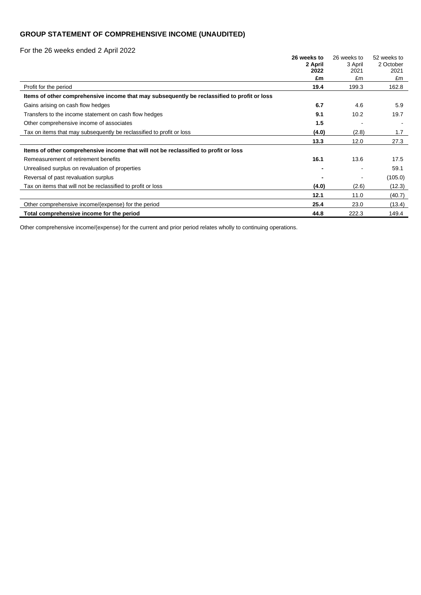## **GROUP STATEMENT OF COMPREHENSIVE INCOME (UNAUDITED)**

For the 26 weeks ended 2 April 2022

|                                                                                             | 26 weeks to | 26 weeks to | 52 weeks to |
|---------------------------------------------------------------------------------------------|-------------|-------------|-------------|
|                                                                                             | 2 April     | 3 April     | 2 October   |
|                                                                                             | 2022        | 2021        | 2021        |
|                                                                                             | £m          | £m          | £m          |
| Profit for the period                                                                       | 19.4        | 199.3       | 162.8       |
| Items of other comprehensive income that may subsequently be reclassified to profit or loss |             |             |             |
| Gains arising on cash flow hedges                                                           | 6.7         | 4.6         | 5.9         |
| Transfers to the income statement on cash flow hedges                                       | 9.1         | 10.2        | 19.7        |
| Other comprehensive income of associates                                                    | 1.5         |             |             |
| Tax on items that may subsequently be reclassified to profit or loss                        | (4.0)       | (2.8)       | 1.7         |
|                                                                                             | 13.3        | 12.0        | 27.3        |
| Items of other comprehensive income that will not be reclassified to profit or loss         |             |             |             |
| Remeasurement of retirement benefits                                                        | 16.1        | 13.6        | 17.5        |
| Unrealised surplus on revaluation of properties                                             |             |             | 59.1        |
| Reversal of past revaluation surplus                                                        |             |             | (105.0)     |
| Tax on items that will not be reclassified to profit or loss                                | (4.0)       | (2.6)       | (12.3)      |
|                                                                                             | 12.1        | 11.0        | (40.7)      |
| Other comprehensive income/(expense) for the period                                         | 25.4        | 23.0        | (13.4)      |
| Total comprehensive income for the period                                                   | 44.8        | 222.3       | 149.4       |

Other comprehensive income/(expense) for the current and prior period relates wholly to continuing operations.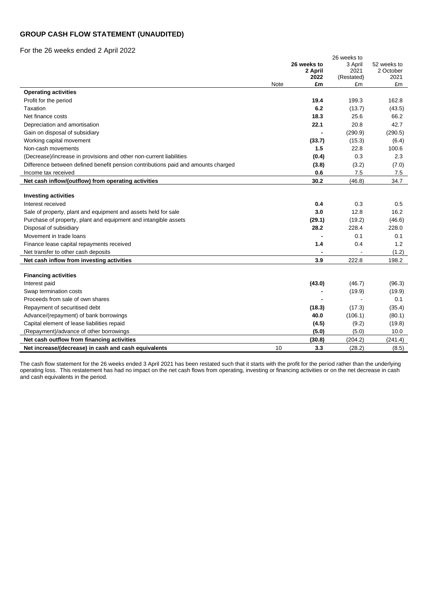### **GROUP CASH FLOW STATEMENT (UNAUDITED)**

For the 26 weeks ended 2 April 2022

|                                                                                   |      | 26 weeks to<br>2 April<br>2022 | 26 weeks to<br>3 April<br>2021<br>(Restated) | 52 weeks to<br>2 October<br>2021 |
|-----------------------------------------------------------------------------------|------|--------------------------------|----------------------------------------------|----------------------------------|
|                                                                                   | Note | £m                             | £m                                           | £m                               |
| <b>Operating activities</b>                                                       |      |                                |                                              |                                  |
| Profit for the period                                                             |      | 19.4                           | 199.3                                        | 162.8                            |
| Taxation                                                                          |      | 6.2                            | (13.7)                                       | (43.5)                           |
| Net finance costs                                                                 |      | 18.3                           | 25.6                                         | 66.2                             |
| Depreciation and amortisation                                                     |      | 22.1                           | 20.8                                         | 42.7                             |
| Gain on disposal of subsidiary                                                    |      |                                | (290.9)                                      | (290.5)                          |
| Working capital movement                                                          |      | (33.7)                         | (15.3)                                       | (6.4)                            |
| Non-cash movements                                                                |      | 1.5                            | 22.8                                         | 100.6                            |
| (Decrease)/increase in provisions and other non-current liabilities               |      | (0.4)                          | 0.3                                          | 2.3                              |
| Difference between defined benefit pension contributions paid and amounts charged |      | (3.8)                          | (3.2)                                        | (7.0)                            |
| Income tax received                                                               |      | 0.6                            | 7.5                                          | 7.5                              |
| Net cash inflow/(outflow) from operating activities                               |      | 30.2                           | (46.8)                                       | 34.7                             |
| <b>Investing activities</b><br>Interest received                                  |      | 0.4                            | 0.3                                          | 0.5                              |
| Sale of property, plant and equipment and assets held for sale                    |      | 3.0                            | 12.8                                         | 16.2                             |
| Purchase of property, plant and equipment and intangible assets                   |      | (29.1)                         | (19.2)                                       | (46.6)                           |
| Disposal of subsidiary                                                            |      | 28.2                           | 228.4                                        | 228.0                            |
| Movement in trade loans                                                           |      |                                | 0.1                                          | 0.1                              |
| Finance lease capital repayments received                                         |      | 1.4                            | 0.4                                          | 1.2                              |
| Net transfer to other cash deposits                                               |      |                                |                                              | (1.2)                            |
| Net cash inflow from investing activities                                         |      | 3.9                            | 222.8                                        | 198.2                            |
|                                                                                   |      |                                |                                              |                                  |
| <b>Financing activities</b>                                                       |      |                                |                                              |                                  |
| Interest paid                                                                     |      | (43.0)                         | (46.7)                                       | (96.3)                           |
| Swap termination costs                                                            |      |                                | (19.9)                                       | (19.9)                           |
| Proceeds from sale of own shares                                                  |      |                                |                                              | 0.1                              |
| Repayment of securitised debt                                                     |      | (18.3)                         | (17.3)                                       | (35.4)                           |
| Advance/(repayment) of bank borrowings                                            |      | 40.0                           | (106.1)                                      | (80.1)                           |
| Capital element of lease liabilities repaid                                       |      | (4.5)                          | (9.2)                                        | (19.8)                           |
| (Repayment)/advance of other borrowings                                           |      | (5.0)                          | (5.0)                                        | 10.0                             |
| Net cash outflow from financing activities                                        |      | (30.8)                         | (204.2)                                      | (241.4)                          |
| Net increase/(decrease) in cash and cash equivalents                              | 10   | 3.3                            | (28.2)                                       | (8.5)                            |

The cash flow statement for the 26 weeks ended 3 April 2021 has been restated such that it starts with the profit for the period rather than the underlying operating loss. This restatement has had no impact on the net cash flows from operating, investing or financing activities or on the net decrease in cash and cash equivalents in the period.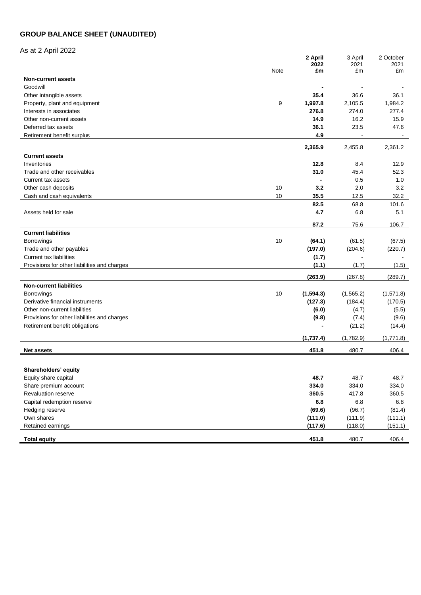## **GROUP BALANCE SHEET (UNAUDITED)**

## As at 2 April 2022

|                                                          |      | 2 April    | 3 April    | 2 October  |
|----------------------------------------------------------|------|------------|------------|------------|
|                                                          | Note | 2022<br>£m | 2021<br>£m | 2021<br>£m |
| <b>Non-current assets</b>                                |      |            |            |            |
| Goodwill                                                 |      |            |            |            |
| Other intangible assets                                  |      | 35.4       | 36.6       | 36.1       |
|                                                          | 9    | 1,997.8    | 2,105.5    | 1,984.2    |
| Property, plant and equipment<br>Interests in associates |      | 276.8      | 274.0      | 277.4      |
|                                                          |      | 14.9       | 16.2       | 15.9       |
| Other non-current assets<br>Deferred tax assets          |      | 36.1       | 23.5       | 47.6       |
| Retirement benefit surplus                               |      | 4.9        |            | $\sim$     |
|                                                          |      |            |            |            |
|                                                          |      | 2,365.9    | 2,455.8    | 2,361.2    |
| <b>Current assets</b>                                    |      |            |            |            |
| Inventories                                              |      | 12.8       | 8.4        | 12.9       |
| Trade and other receivables                              |      | 31.0       | 45.4       | 52.3       |
| Current tax assets                                       |      |            | 0.5        | 1.0        |
| Other cash deposits                                      | 10   | 3.2        | 2.0        | 3.2        |
| Cash and cash equivalents                                | 10   | 35.5       | 12.5       | 32.2       |
|                                                          |      | 82.5       | 68.8       | 101.6      |
| Assets held for sale                                     |      | 4.7        | 6.8        | 5.1        |
|                                                          |      |            |            |            |
|                                                          |      | 87.2       | 75.6       | 106.7      |
| <b>Current liabilities</b>                               |      |            |            |            |
| <b>Borrowings</b>                                        | 10   | (64.1)     | (61.5)     | (67.5)     |
| Trade and other payables                                 |      | (197.0)    | (204.6)    | (220.7)    |
| <b>Current tax liabilities</b>                           |      | (1.7)      |            |            |
| Provisions for other liabilities and charges             |      | (1.1)      | (1.7)      | (1.5)      |
|                                                          |      | (263.9)    | (267.8)    | (289.7)    |
| <b>Non-current liabilities</b>                           |      |            |            |            |
| <b>Borrowings</b>                                        | 10   | (1, 594.3) | (1, 565.2) | (1,571.8)  |
| Derivative financial instruments                         |      | (127.3)    | (184.4)    | (170.5)    |
| Other non-current liabilities                            |      | (6.0)      | (4.7)      | (5.5)      |
| Provisions for other liabilities and charges             |      | (9.8)      | (7.4)      | (9.6)      |
| Retirement benefit obligations                           |      |            | (21.2)     | (14.4)     |
|                                                          |      |            |            |            |
|                                                          |      | (1,737.4)  | (1,782.9)  | (1,771.8)  |
| <b>Net assets</b>                                        |      | 451.8      | 480.7      | 406.4      |
|                                                          |      |            |            |            |
| Shareholders' equity                                     |      |            |            |            |
| Equity share capital                                     |      | 48.7       | 48.7       | 48.7       |
| Share premium account                                    |      | 334.0      | 334.0      | 334.0      |
| Revaluation reserve                                      |      | 360.5      | 417.8      | 360.5      |
| Capital redemption reserve                               |      | $\bf6.8$   | 6.8        | $6.8\,$    |
| Hedging reserve                                          |      | (69.6)     | (96.7)     | (81.4)     |
| Own shares                                               |      | (111.0)    | (111.9)    | (111.1)    |
| Retained earnings                                        |      | (117.6)    | (118.0)    | (151.1)    |
|                                                          |      |            |            |            |
| <b>Total equity</b>                                      |      | 451.8      | 480.7      | 406.4      |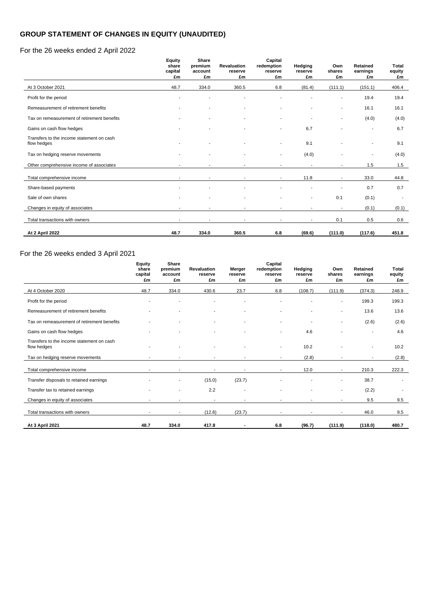## **GROUP STATEMENT OF CHANGES IN EQUITY (UNAUDITED)**

### For the 26 weeks ended 2 April 2022

|                                                          | <b>Equity</b><br>share   | Share<br>premium | <b>Revaluation</b>       | Capital<br>redemption    | Hedging                  | Own                      | Retained       | <b>Total</b> |
|----------------------------------------------------------|--------------------------|------------------|--------------------------|--------------------------|--------------------------|--------------------------|----------------|--------------|
|                                                          | capital<br>£m            | account<br>£m    | reserve<br>£m            | reserve<br>£m            | reserve<br>£m            | shares<br>£m             | earnings<br>£m | equity<br>£m |
| At 3 October 2021                                        | 48.7                     | 334.0            | 360.5                    | 6.8                      | (81.4)                   | (111.1)                  | (151.1)        | 406.4        |
| Profit for the period                                    |                          |                  |                          |                          |                          | $\overline{\phantom{a}}$ | 19.4           | 19.4         |
| Remeasurement of retirement benefits                     | ٠                        | ٠                | $\blacksquare$           |                          |                          | ٠                        | 16.1           | 16.1         |
| Tax on remeasurement of retirement benefits              | ٠                        |                  |                          |                          |                          |                          | (4.0)          | (4.0)        |
| Gains on cash flow hedges                                |                          |                  |                          |                          | 6.7                      |                          |                | 6.7          |
| Transfers to the income statement on cash<br>flow hedges | ٠                        |                  |                          | ٠                        | 9.1                      |                          |                | 9.1          |
| Tax on hedging reserve movements                         |                          |                  |                          |                          | (4.0)                    |                          |                | (4.0)        |
| Other comprehensive income of associates                 | $\blacksquare$           |                  |                          |                          |                          | ٠                        | 1.5            | 1.5          |
| Total comprehensive income                               |                          |                  |                          |                          | 11.8                     |                          | 33.0           | 44.8         |
| Share-based payments                                     |                          |                  |                          |                          |                          |                          | 0.7            | 0.7          |
| Sale of own shares                                       |                          |                  |                          |                          |                          | 0.1                      | (0.1)          | $\sim$       |
| Changes in equity of associates                          | $\overline{\phantom{a}}$ | $\blacksquare$   | $\overline{\phantom{a}}$ | $\overline{\phantom{a}}$ | $\overline{\phantom{a}}$ | $\overline{\phantom{a}}$ | (0.1)          | (0.1)        |
| Total transactions with owners                           | $\blacksquare$           | ٠                |                          | $\sim$                   | $\overline{\phantom{a}}$ | 0.1                      | 0.5            | 0.6          |
| <b>At 2 April 2022</b>                                   | 48.7                     | 334.0            | 360.5                    | 6.8                      | (69.6)                   | (111.0)                  | (117.6)        | 451.8        |

## For the 26 weeks ended 3 April 2021

|                                                          | <b>Equity</b><br>share   | Share<br>premium | <b>Revaluation</b> | Merger         | Capital<br>redemption    | Hedging       | Own                      | Retained       | <b>Total</b> |
|----------------------------------------------------------|--------------------------|------------------|--------------------|----------------|--------------------------|---------------|--------------------------|----------------|--------------|
|                                                          | capital<br>£m            | account<br>£m    | reserve<br>£m      | reserve<br>£m  | reserve<br>£m            | reserve<br>£m | shares<br>£m             | earnings<br>£m | equity<br>£m |
| At 4 October 2020                                        | 48.7                     | 334.0            | 430.6              | 23.7           | 6.8                      | (108.7)       | (111.9)                  | (374.3)        | 248.9        |
| Profit for the period                                    |                          |                  |                    |                |                          |               | $\blacksquare$           | 199.3          | 199.3        |
| Remeasurement of retirement benefits                     |                          |                  |                    |                |                          |               | $\blacksquare$           | 13.6           | 13.6         |
| Tax on remeasurement of retirement benefits              |                          |                  |                    |                |                          | ٠             | $\overline{\phantom{a}}$ | (2.6)          | (2.6)        |
| Gains on cash flow hedges                                |                          |                  |                    |                |                          | 4.6           |                          |                | 4.6          |
| Transfers to the income statement on cash<br>flow hedges |                          |                  |                    |                | $\overline{\phantom{a}}$ | 10.2          |                          | ٠              | 10.2         |
| Tax on hedging reserve movements                         | $\overline{\phantom{a}}$ |                  | ٠                  |                | $\overline{\phantom{a}}$ | (2.8)         | $\blacksquare$           | ٠              | (2.8)        |
| Total comprehensive income                               | $\overline{a}$           |                  |                    |                |                          | 12.0          | $\blacksquare$           | 210.3          | 222.3        |
| Transfer disposals to retained earnings                  |                          |                  | (15.0)             | (23.7)         |                          |               | $\blacksquare$           | 38.7           | ٠            |
| Transfer tax to retained earnings                        |                          |                  | 2.2                | $\blacksquare$ |                          |               | $\overline{\phantom{a}}$ | (2.2)          |              |
| Changes in equity of associates                          |                          |                  | $\sim$             |                |                          |               |                          | 9.5            | 9.5          |
| Total transactions with owners                           |                          |                  | (12.8)             | (23.7)         |                          |               | $\overline{\phantom{a}}$ | 46.0           | 9.5          |
| At 3 April 2021                                          | 48.7                     | 334.0            | 417.8              |                | 6.8                      | (96.7)        | (111.9)                  | (118.0)        | 480.7        |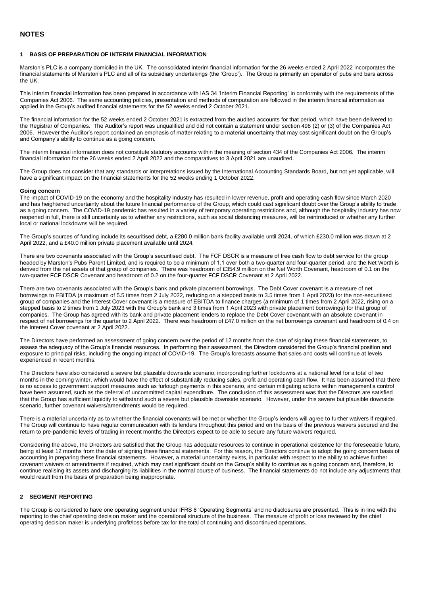#### **1 BASIS OF PREPARATION OF INTERIM FINANCIAL INFORMATION**

Marston's PLC is a company domiciled in the UK. The consolidated interim financial information for the 26 weeks ended 2 April 2022 incorporates the financial statements of Marston's PLC and all of its subsidiary undertakings (the 'Group'). The Group is primarily an operator of pubs and bars across the UK.

This interim financial information has been prepared in accordance with IAS 34 'Interim Financial Reporting' in conformity with the requirements of the Companies Act 2006. The same accounting policies, presentation and methods of computation are followed in the interim financial information as applied in the Group's audited financial statements for the 52 weeks ended 2 October 2021.

The financial information for the 52 weeks ended 2 October 2021 is extracted from the audited accounts for that period, which have been delivered to the Registrar of Companies. The Auditor's report was unqualified and did not contain a statement under section 498 (2) or (3) of the Companies Act 2006. However the Auditor's report contained an emphasis of matter relating to a material uncertainty that may cast significant doubt on the Group's and Company's ability to continue as a going concern.

The interim financial information does not constitute statutory accounts within the meaning of section 434 of the Companies Act 2006. The interim financial information for the 26 weeks ended 2 April 2022 and the comparatives to 3 April 2021 are unaudited.

The Group does not consider that any standards or interpretations issued by the International Accounting Standards Board, but not yet applicable, will have a significant impact on the financial statements for the 52 weeks ending 1 October 2022.

#### **Going concern**

The impact of COVID-19 on the economy and the hospitality industry has resulted in lower revenue, profit and operating cash flow since March 2020 and has heightened uncertainty about the future financial performance of the Group, which could cast significant doubt over the Group's ability to trade as a going concern. The COVID-19 pandemic has resulted in a variety of temporary operating restrictions and, although the hospitality industry has now reopened in full, there is still uncertainty as to whether any restrictions, such as social distancing measures, will be reintroduced or whether any further local or national lockdowns will be required.

The Group's sources of funding include its securitised debt, a £280.0 million bank facility available until 2024, of which £230.0 million was drawn at 2 April 2022, and a £40.0 million private placement available until 2024.

There are two covenants associated with the Group's securitised debt. The FCF DSCR is a measure of free cash flow to debt service for the group headed by Marston's Pubs Parent Limited, and is required to be a minimum of 1.1 over both a two-quarter and four-quarter period, and the Net Worth is derived from the net assets of that group of companies. There was headroom of £354.9 million on the Net Worth Covenant, headroom of 0.1 on the two-quarter FCF DSCR Covenant and headroom of 0.2 on the four-quarter FCF DSCR Covenant at 2 April 2022.

There are two covenants associated with the Group's bank and private placement borrowings. The Debt Cover covenant is a measure of net borrowings to EBITDA (a maximum of 5.5 times from 2 July 2022, reducing on a stepped basis to 3.5 times from 1 April 2023) for the non-securitised group of companies and the Interest Cover covenant is a measure of EBITDA to finance charges (a minimum of 1 times from 2 April 2022, rising on a stepped basis to 2 times from 1 July 2023 with the Group's bank and 3 times from 1 April 2023 with private placement borrowings) for that group of companies. The Group has agreed with its bank and private placement lenders to replace the Debt Cover covenant with an absolute covenant in respect of net borrowings for the quarter to 2 April 2022. There was headroom of £47.0 million on the net borrowings covenant and headroom of 0.4 on the Interest Cover covenant at 2 April 2022.

The Directors have performed an assessment of going concern over the period of 12 months from the date of signing these financial statements, to assess the adequacy of the Group's financial resources. In performing their assessment, the Directors considered the Group's financial position and exposure to principal risks, including the ongoing impact of COVID-19. The Group's forecasts assume that sales and costs will continue at levels experienced in recent months.

The Directors have also considered a severe but plausible downside scenario, incorporating further lockdowns at a national level for a total of two months in the coming winter, which would have the effect of substantially reducing sales, profit and operating cash flow. It has been assumed that there is no access to government support measures such as furlough payments in this scenario, and certain mitigating actions within management's control have been assumed, such as the deferral of uncommitted capital expenditure. The conclusion of this assessment was that the Directors are satisfied that the Group has sufficient liquidity to withstand such a severe but plausible downside scenario. However, under this severe but plausible downside scenario, further covenant waivers/amendments would be required.

There is a material uncertainty as to whether the financial covenants will be met or whether the Group's lenders will agree to further waivers if required. The Group will continue to have regular communication with its lenders throughout this period and on the basis of the previous waivers secured and the return to pre-pandemic levels of trading in recent months the Directors expect to be able to secure any future waivers required.

Considering the above, the Directors are satisfied that the Group has adequate resources to continue in operational existence for the foreseeable future, being at least 12 months from the date of signing these financial statements. For this reason, the Directors continue to adopt the going concern basis of accounting in preparing these financial statements. However, a material uncertainty exists, in particular with respect to the ability to achieve further covenant waivers or amendments if required, which may cast significant doubt on the Group's ability to continue as a going concern and, therefore, to continue realising its assets and discharging its liabilities in the normal course of business. The financial statements do not include any adjustments that would result from the basis of preparation being inappropriate.

#### **2 SEGMENT REPORTING**

The Group is considered to have one operating segment under IFRS 8 'Operating Segments' and no disclosures are presented. This is in line with the reporting to the chief operating decision maker and the operational structure of the business. The measure of profit or loss reviewed by the chief operating decision maker is underlying profit/loss before tax for the total of continuing and discontinued operations.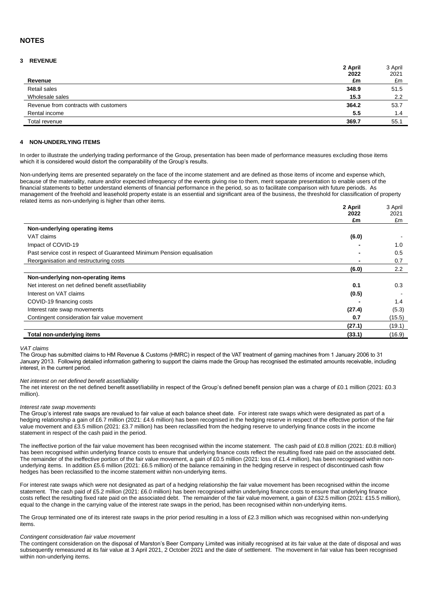#### **NOTES**

#### **3 REVENUE**

| 2 April                                        | 3 April |
|------------------------------------------------|---------|
| 2022                                           | 2021    |
| £m<br>Revenue                                  | £m      |
| Retail sales<br>348.9                          | 51.5    |
| Wholesale sales<br>15.3                        | 2.2     |
| Revenue from contracts with customers<br>364.2 | 53.7    |
| Rental income<br>$5.5^{\circ}$                 | 1.4     |
| Total revenue<br>369.7                         | 55.1    |

#### **4 NON-UNDERLYING ITEMS**

In order to illustrate the underlying trading performance of the Group, presentation has been made of performance measures excluding those items which it is considered would distort the comparability of the Group's results.

Non-underlying items are presented separately on the face of the income statement and are defined as those items of income and expense which, because of the materiality, nature and/or expected infrequency of the events giving rise to them, merit separate presentation to enable users of the financial statements to better understand elements of financial performance in the period, so as to facilitate comparison with future periods. As management of the freehold and leasehold property estate is an essential and significant area of the business, the threshold for classification of property related items as non-underlying is higher than other items.

|                                                                         | 2 April | 3 April |
|-------------------------------------------------------------------------|---------|---------|
|                                                                         | 2022    | 2021    |
|                                                                         | £m      | £m      |
| Non-underlying operating items                                          |         |         |
| VAT claims                                                              | (6.0)   |         |
| Impact of COVID-19                                                      |         | 1.0     |
| Past service cost in respect of Guaranteed Minimum Pension equalisation |         | 0.5     |
| Reorganisation and restructuring costs                                  | -       | 0.7     |
|                                                                         | (6.0)   | 2.2     |
| Non-underlying non-operating items                                      |         |         |
| Net interest on net defined benefit asset/liability                     | 0.1     | 0.3     |
| Interest on VAT claims                                                  | (0.5)   |         |
| COVID-19 financing costs                                                |         | 1.4     |
| Interest rate swap movements                                            | (27.4)  | (5.3)   |
| Contingent consideration fair value movement                            | 0.7     | (15.5)  |
|                                                                         | (27.1)  | (19.1)  |
| Total non-underlying items                                              | (33.1)  | (16.9)  |

#### *VAT claims*

The Group has submitted claims to HM Revenue & Customs (HMRC) in respect of the VAT treatment of gaming machines from 1 January 2006 to 31 January 2013. Following detailed information gathering to support the claims made the Group has recognised the estimated amounts receivable, including interest, in the current period.

#### *Net interest on net defined benefit asset/liability*

The net interest on the net defined benefit asset/liability in respect of the Group's defined benefit pension plan was a charge of £0.1 million (2021: £0.3 million).

#### *Interest rate swap movements*

The Group's interest rate swaps are revalued to fair value at each balance sheet date. For interest rate swaps which were designated as part of a hedging relationship a gain of £6.7 million (2021: £4.6 million) has been recognised in the hedging reserve in respect of the effective portion of the fair value movement and £3.5 million (2021: £3.7 million) has been reclassified from the hedging reserve to underlying finance costs in the income statement in respect of the cash paid in the period.

The ineffective portion of the fair value movement has been recognised within the income statement. The cash paid of £0.8 million (2021: £0.8 million) has been recognised within underlying finance costs to ensure that underlying finance costs reflect the resulting fixed rate paid on the associated debt. The remainder of the ineffective portion of the fair value movement, a gain of £0.5 million (2021: loss of £1.4 million), has been recognised within nonunderlying items. In addition £5.6 million (2021: £6.5 million) of the balance remaining in the hedging reserve in respect of discontinued cash flow hedges has been reclassified to the income statement within non-underlying items.

For interest rate swaps which were not designated as part of a hedging relationship the fair value movement has been recognised within the income statement. The cash paid of £5.2 million (2021: £6.0 million) has been recognised within underlying finance costs to ensure that underlying finance costs reflect the resulting fixed rate paid on the associated debt. The remainder of the fair value movement, a gain of £32.5 million (2021: £15.5 million), equal to the change in the carrying value of the interest rate swaps in the period, has been recognised within non-underlying items.

The Group terminated one of its interest rate swaps in the prior period resulting in a loss of £2.3 million which was recognised within non-underlying items.

#### *Contingent consideration fair value movement*

The contingent consideration on the disposal of Marston's Beer Company Limited was initially recognised at its fair value at the date of disposal and was subsequently remeasured at its fair value at 3 April 2021, 2 October 2021 and the date of settlement. The movement in fair value has been recognised within non-underlying items.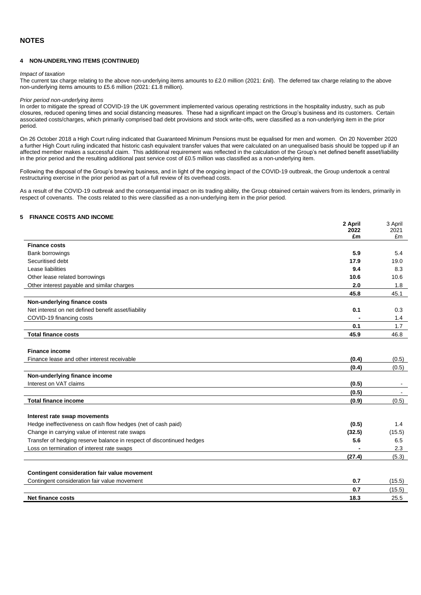#### **4 NON-UNDERLYING ITEMS (CONTINUED)**

#### *Impact of taxation*

The current tax charge relating to the above non-underlying items amounts to £2.0 million (2021: £nil). The deferred tax charge relating to the above non-underlying items amounts to £5.6 million (2021: £1.8 million).

#### *Prior period non-underlying items*

In order to mitigate the spread of COVID-19 the UK government implemented various operating restrictions in the hospitality industry, such as pub closures, reduced opening times and social distancing measures. These had a significant impact on the Group's business and its customers. Certain associated costs/charges, which primarily comprised bad debt provisions and stock write-offs, were classified as a non-underlying item in the prior period.

On 26 October 2018 a High Court ruling indicated that Guaranteed Minimum Pensions must be equalised for men and women. On 20 November 2020 a further High Court ruling indicated that historic cash equivalent transfer values that were calculated on an unequalised basis should be topped up if an affected member makes a successful claim. This additional requirement was reflected in the calculation of the Group's net defined benefit asset/liability in the prior period and the resulting additional past service cost of £0.5 million was classified as a non-underlying item.

Following the disposal of the Group's brewing business, and in light of the ongoing impact of the COVID-19 outbreak, the Group undertook a central restructuring exercise in the prior period as part of a full review of its overhead costs.

As a result of the COVID-19 outbreak and the consequential impact on its trading ability, the Group obtained certain waivers from its lenders, primarily in respect of covenants. The costs related to this were classified as a non-underlying item in the prior period.

**2 April**

 $\overline{a}$   $\overline{a}$   $\overline{b}$ 

#### **5 FINANCE COSTS AND INCOME**

|                                                                       | 2 April    | 3 April    |
|-----------------------------------------------------------------------|------------|------------|
|                                                                       | 2022<br>£m | 2021<br>£m |
| <b>Finance costs</b>                                                  |            |            |
| Bank borrowings                                                       | 5.9        | 5.4        |
| Securitised debt                                                      | 17.9       | 19.0       |
| Lease liabilities                                                     | 9.4        | 8.3        |
| Other lease related borrowings                                        | 10.6       | 10.6       |
| Other interest payable and similar charges                            | 2.0        | 1.8        |
|                                                                       | 45.8       | 45.1       |
| Non-underlying finance costs                                          |            |            |
| Net interest on net defined benefit asset/liability                   | 0.1        | 0.3        |
| COVID-19 financing costs                                              |            | 1.4        |
|                                                                       | 0.1        | 1.7        |
| <b>Total finance costs</b>                                            | 45.9       | 46.8       |
|                                                                       |            |            |
| <b>Finance income</b>                                                 |            |            |
| Finance lease and other interest receivable                           | (0.4)      | (0.5)      |
|                                                                       | (0.4)      | (0.5)      |
| Non-underlying finance income                                         |            |            |
| Interest on VAT claims                                                | (0.5)      |            |
|                                                                       | (0.5)      | $\sim$     |
| <b>Total finance income</b>                                           | (0.9)      | (0.5)      |
|                                                                       |            |            |
| Interest rate swap movements                                          |            |            |
| Hedge ineffectiveness on cash flow hedges (net of cash paid)          | (0.5)      | 1.4        |
| Change in carrying value of interest rate swaps                       | (32.5)     | (15.5)     |
| Transfer of hedging reserve balance in respect of discontinued hedges | 5.6        | 6.5        |
| Loss on termination of interest rate swaps                            |            | 2.3        |
|                                                                       | (27.4)     | (5.3)      |
|                                                                       |            |            |
| Contingent consideration fair value movement                          |            |            |
| Contingent consideration fair value movement                          | 0.7<br>0.7 | (15.5)     |
|                                                                       | 18.3       | (15.5)     |
| Net finance costs                                                     |            | 25.5       |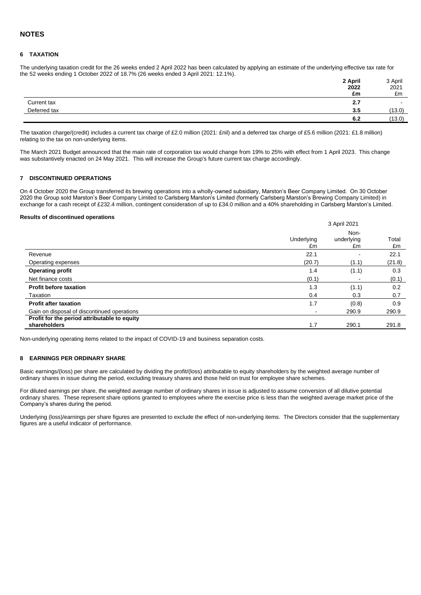#### **6 TAXATION**

The underlying taxation credit for the 26 weeks ended 2 April 2022 has been calculated by applying an estimate of the underlying effective tax rate for the 52 weeks ending 1 October 2022 of 18.7% (26 weeks ended 3 April 2021: 12.1%).

|              | 2 April | 3 April |
|--------------|---------|---------|
|              | 2022    | 2021    |
|              | £m      | £m      |
| Current tax  | 2.7     | $\sim$  |
| Deferred tax | 3.5     | (13.0)  |
|              | 6.2     | (13.0)  |

The taxation charge/(credit) includes a current tax charge of £2.0 million (2021: £nil) and a deferred tax charge of £5.6 million (2021: £1.8 million) relating to the tax on non-underlying items.

The March 2021 Budget announced that the main rate of corporation tax would change from 19% to 25% with effect from 1 April 2023. This change was substantively enacted on 24 May 2021. This will increase the Group's future current tax charge accordingly.

#### **7 DISCONTINUED OPERATIONS**

On 4 October 2020 the Group transferred its brewing operations into a wholly-owned subsidiary, Marston's Beer Company Limited. On 30 October 2020 the Group sold Marston's Beer Company Limited to Carlsberg Marston's Limited (formerly Carlsberg Marston's Brewing Company Limited) in exchange for a cash receipt of £232.4 million, contingent consideration of up to £34.0 million and a 40% shareholding in Carlsberg Marston's Limited.

#### **Results of discontinued operations**

|                                                              |                  | 3 April 2021             |             |  |  |
|--------------------------------------------------------------|------------------|--------------------------|-------------|--|--|
|                                                              | Underlying<br>£m | Non-<br>underlying<br>£m | Total<br>£m |  |  |
| Revenue                                                      | 22.1             |                          | 22.1        |  |  |
| Operating expenses                                           | (20.7)           | (1.1)                    | (21.8)      |  |  |
| <b>Operating profit</b>                                      | 1.4              | (1.1)                    | 0.3         |  |  |
| Net finance costs                                            | (0.1)            | ۰                        | (0.1)       |  |  |
| <b>Profit before taxation</b>                                | 1.3              | (1.1)                    | 0.2         |  |  |
| Taxation                                                     | 0.4              | 0.3                      | 0.7         |  |  |
| <b>Profit after taxation</b>                                 | 1.7              | (0.8)                    | 0.9         |  |  |
| Gain on disposal of discontinued operations                  |                  | 290.9                    | 290.9       |  |  |
| Profit for the period attributable to equity<br>shareholders | 1.7              | 290.1                    | 291.8       |  |  |

Non-underlying operating items related to the impact of COVID-19 and business separation costs.

#### **8 EARNINGS PER ORDINARY SHARE**

Basic earnings/(loss) per share are calculated by dividing the profit/(loss) attributable to equity shareholders by the weighted average number of ordinary shares in issue during the period, excluding treasury shares and those held on trust for employee share schemes.

For diluted earnings per share, the weighted average number of ordinary shares in issue is adjusted to assume conversion of all dilutive potential ordinary shares. These represent share options granted to employees where the exercise price is less than the weighted average market price of the Company's shares during the period.

Underlying (loss)/earnings per share figures are presented to exclude the effect of non-underlying items. The Directors consider that the supplementary figures are a useful indicator of performance.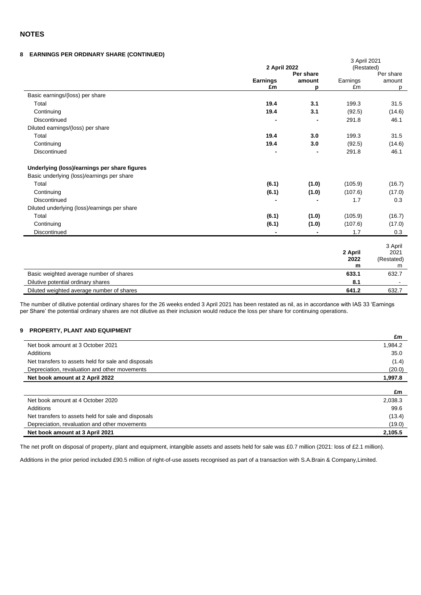#### **NOTES**

#### **8 EARNINGS PER ORDINARY SHARE (CONTINUED)**

|                                              | 2 April 2022    | 3 April 2021<br>(Restated) |                      |                                    |  |
|----------------------------------------------|-----------------|----------------------------|----------------------|------------------------------------|--|
|                                              |                 | Per share                  |                      | Per share                          |  |
|                                              | <b>Earnings</b> | amount                     | Earnings             | amount                             |  |
|                                              | £m              | р                          | £m                   | р                                  |  |
| Basic earnings/(loss) per share              |                 |                            |                      |                                    |  |
| Total                                        | 19.4            | 3.1                        | 199.3                | 31.5                               |  |
| Continuing                                   | 19.4            | 3.1                        | (92.5)               | (14.6)                             |  |
| Discontinued                                 |                 |                            | 291.8                | 46.1                               |  |
| Diluted earnings/(loss) per share            |                 |                            |                      |                                    |  |
| Total                                        | 19.4            | 3.0                        | 199.3                | 31.5                               |  |
| Continuing                                   | 19.4            | 3.0                        | (92.5)               | (14.6)                             |  |
| <b>Discontinued</b>                          |                 |                            | 291.8                | 46.1                               |  |
| Underlying (loss)/earnings per share figures |                 |                            |                      |                                    |  |
| Basic underlying (loss)/earnings per share   |                 |                            |                      |                                    |  |
| Total                                        | (6.1)           | (1.0)                      | (105.9)              | (16.7)                             |  |
| Continuing                                   | (6.1)           | (1.0)                      | (107.6)              | (17.0)                             |  |
| <b>Discontinued</b>                          |                 |                            | 1.7                  | 0.3                                |  |
| Diluted underlying (loss)/earnings per share |                 |                            |                      |                                    |  |
| Total                                        | (6.1)           | (1.0)                      | (105.9)              | (16.7)                             |  |
| Continuing                                   | (6.1)           | (1.0)                      | (107.6)              | (17.0)                             |  |
| <b>Discontinued</b>                          |                 |                            | 1.7                  | 0.3                                |  |
|                                              |                 |                            | 2 April<br>2022<br>m | 3 April<br>2021<br>(Restated)<br>m |  |
| Basic weighted average number of shares      |                 |                            | 633.1                | 632.7                              |  |
| Dilutive potential ordinary shares           |                 |                            | 8.1                  |                                    |  |
| Diluted weighted average number of shares    |                 |                            | 641.2                | 632.7                              |  |

The number of dilutive potential ordinary shares for the 26 weeks ended 3 April 2021 has been restated as nil, as in accordance with IAS 33 'Earnings per Share' the potential ordinary shares are not dilutive as their inclusion would reduce the loss per share for continuing operations.

#### **9 PROPERTY, PLANT AND EQUIPMENT**

|                                                     | £m      |
|-----------------------------------------------------|---------|
| Net book amount at 3 October 2021                   | 1,984.2 |
| Additions                                           | 35.0    |
| Net transfers to assets held for sale and disposals | (1.4)   |
| Depreciation, revaluation and other movements       | (20.0)  |
| Net book amount at 2 April 2022                     | 1,997.8 |
|                                                     |         |
|                                                     | £m      |
| Net book amount at 4 October 2020                   | 2,038.3 |
| Additions                                           | 99.6    |
| Net transfers to assets held for sale and disposals | (13.4)  |
| Depreciation, revaluation and other movements       | (19.0)  |
| Net book amount at 3 April 2021                     | 2.105.5 |

The net profit on disposal of property, plant and equipment, intangible assets and assets held for sale was £0.7 million (2021: loss of £2.1 million).

Additions in the prior period included £90.5 million of right-of-use assets recognised as part of a transaction with S.A.Brain & Company,Limited.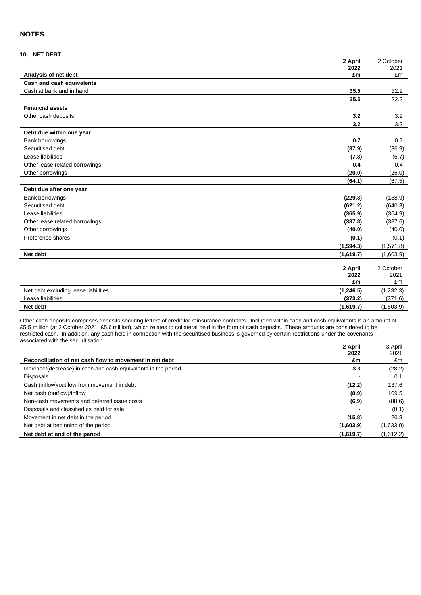#### **NOTES**

#### **10 NET DEBT**

|                                      | 2 April<br>2022 | 2 October<br>2021 |
|--------------------------------------|-----------------|-------------------|
| Analysis of net debt                 | £m              | £m                |
| Cash and cash equivalents            |                 |                   |
| Cash at bank and in hand             | 35.5            | 32.2              |
|                                      | 35.5            | 32.2              |
| <b>Financial assets</b>              |                 |                   |
| Other cash deposits                  | 3.2             | 3.2               |
|                                      | 3.2             | 3.2               |
| Debt due within one year             |                 |                   |
| Bank borrowings                      | 0.7             | 0.7               |
| Securitised debt                     | (37.9)          | (36.9)            |
| Lease liabilities                    | (7.3)           | (6.7)             |
| Other lease related borrowings       | 0.4             | 0.4               |
| Other borrowings                     | (20.0)          | (25.0)            |
|                                      | (64.1)          | (67.5)            |
| Debt due after one year              |                 |                   |
| Bank borrowings                      | (229.3)         | (188.9)           |
| Securitised debt                     | (621.2)         | (640.3)           |
| Lease liabilities                    | (365.9)         | (364.9)           |
| Other lease related borrowings       | (337.8)         | (337.6)           |
| Other borrowings                     | (40.0)          | (40.0)            |
| Preference shares                    | (0.1)           | (0.1)             |
|                                      | (1, 594.3)      | (1,571.8)         |
| Net debt                             | (1,619.7)       | (1,603.9)         |
|                                      |                 |                   |
|                                      | 2 April<br>2022 | 2 October<br>2021 |
|                                      | £m              | £m                |
| Net debt excluding lease liabilities | (1,246.5)       | (1, 232.3)        |
| Lease liabilities                    | (373.2)         | (371.6)           |
| Net debt                             | (1,619.7)       | (1,603.9)         |

Other cash deposits comprises deposits securing letters of credit for reinsurance contracts. Included within cash and cash equivalents is an amount of £5.5 million (at 2 October 2021: £5.6 million), which relates to collateral held in the form of cash deposits. These amounts are considered to be restricted cash. In addition, any cash held in connection with the securitised business is governed by certain restrictions under the covenants associated with the securitisation.

|                                                                | 2 April<br>2022 | 3 April<br>2021 |
|----------------------------------------------------------------|-----------------|-----------------|
| Reconciliation of net cash flow to movement in net debt        | £m              | £m              |
| Increase/(decrease) in cash and cash equivalents in the period | 3.3             | (28.2)          |
| <b>Disposals</b>                                               |                 | 0.1             |
| Cash (inflow)/outflow from movement in debt                    | (12.2)          | 137.6           |
| Net cash (outflow)/inflow                                      | (8.9)           | 109.5           |
| Non-cash movements and deferred issue costs                    | (6.9)           | (88.6)          |
| Disposals and classified as held for sale                      |                 | (0.1)           |
| Movement in net debt in the period                             | (15.8)          | 20.8            |
| Net debt at beginning of the period                            | (1,603.9)       | (1,633.0)       |
| Net debt at end of the period                                  | (1,619.7)       | (1,612.2)       |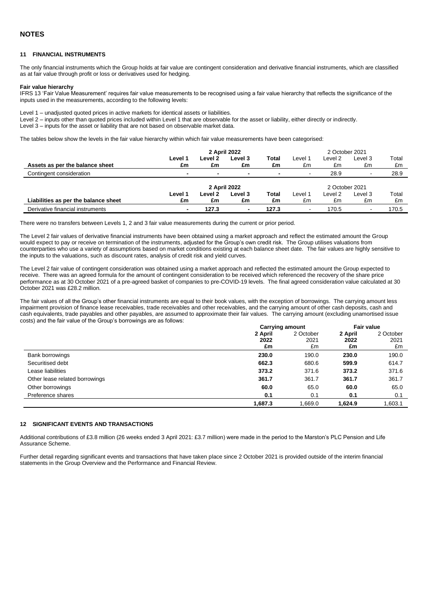#### **11 FINANCIAL INSTRUMENTS**

The only financial instruments which the Group holds at fair value are contingent consideration and derivative financial instruments, which are classified as at fair value through profit or loss or derivatives used for hedging.

#### **Fair value hierarchy**

IFRS 13 'Fair Value Measurement' requires fair value measurements to be recognised using a fair value hierarchy that reflects the significance of the inputs used in the measurements, according to the following levels:

Level 1 – unadjusted quoted prices in active markets for identical assets or liabilities.

Level 2 – inputs other than quoted prices included within Level 1 that are observable for the asset or liability, either directly or indirectly.

Level 3 – inputs for the asset or liability that are not based on observable market data.

The tables below show the levels in the fair value hierarchy within which fair value measurements have been categorised:

|                                      |                          |                          | 2 April 2022 |       |                |         | 2 October 2021           |                |
|--------------------------------------|--------------------------|--------------------------|--------------|-------|----------------|---------|--------------------------|----------------|
|                                      | Level 1                  | Level 2                  | Level 3      | Total | Level 1        | Level 2 | Level 3                  | Total          |
| Assets as per the balance sheet      | £m                       | £m                       | £m           | £m    | £m             | £m      | £m                       | £m             |
| Contingent consideration             | $\overline{\phantom{0}}$ | $\overline{\phantom{0}}$ | -            |       | $\blacksquare$ | 28.9    | -                        | 28.9           |
|                                      | 2 April 2022             |                          |              |       |                |         |                          | 2 October 2021 |
|                                      | Level 1                  | Level 2                  | Level 3      | Total | Level 1        | Level 2 | Level 3                  | Total          |
| Liabilities as per the balance sheet | £m                       | £m                       | £m           | £m    | £m             | £m      | £m                       | £m             |
| Derivative financial instruments     | $\overline{\phantom{0}}$ | 127.3                    | ۰            | 127.3 | $\blacksquare$ | 170.5   | $\overline{\phantom{a}}$ | 170.5          |

There were no transfers between Levels 1, 2 and 3 fair value measurements during the current or prior period.

The Level 2 fair values of derivative financial instruments have been obtained using a market approach and reflect the estimated amount the Group would expect to pay or receive on termination of the instruments, adjusted for the Group's own credit risk. The Group utilises valuations from counterparties who use a variety of assumptions based on market conditions existing at each balance sheet date. The fair values are highly sensitive to the inputs to the valuations, such as discount rates, analysis of credit risk and yield curves.

The Level 2 fair value of contingent consideration was obtained using a market approach and reflected the estimated amount the Group expected to receive. There was an agreed formula for the amount of contingent consideration to be received which referenced the recovery of the share price performance as at 30 October 2021 of a pre-agreed basket of companies to pre-COVID-19 levels. The final agreed consideration value calculated at 30 October 2021 was £28.2 million.

The fair values of all the Group's other financial instruments are equal to their book values, with the exception of borrowings. The carrying amount less impairment provision of finance lease receivables, trade receivables and other receivables, and the carrying amount of other cash deposits, cash and cash equivalents, trade payables and other payables, are assumed to approximate their fair values. The carrying amount (excluding unamortised issue costs) and the fair value of the Group's borrowings are as follows:

|                                | <b>Carrying amount</b> |           | <b>Fair value</b> |           |
|--------------------------------|------------------------|-----------|-------------------|-----------|
|                                | 2 April                | 2 October | 2 April           | 2 October |
|                                | 2022                   | 2021      | 2022              | 2021      |
|                                | £m                     | £m        | £m                | £m        |
| Bank borrowings                | 230.0                  | 190.0     | 230.0             | 190.0     |
| Securitised debt               | 662.3                  | 680.6     | 599.9             | 614.7     |
| Lease liabilities              | 373.2                  | 371.6     | 373.2             | 371.6     |
| Other lease related borrowings | 361.7                  | 361.7     | 361.7             | 361.7     |
| Other borrowings               | 60.0                   | 65.0      | 60.0              | 65.0      |
| Preference shares              | 0.1                    | 0.1       | 0.1               | 0.1       |
|                                | 1,687.3                | .669.0    | 1,624.9           | 1,603.1   |

#### **12 SIGNIFICANT EVENTS AND TRANSACTIONS**

Additional contributions of £3.8 million (26 weeks ended 3 April 2021: £3.7 million) were made in the period to the Marston's PLC Pension and Life Assurance Scheme.

Further detail regarding significant events and transactions that have taken place since 2 October 2021 is provided outside of the interim financial statements in the Group Overview and the Performance and Financial Review.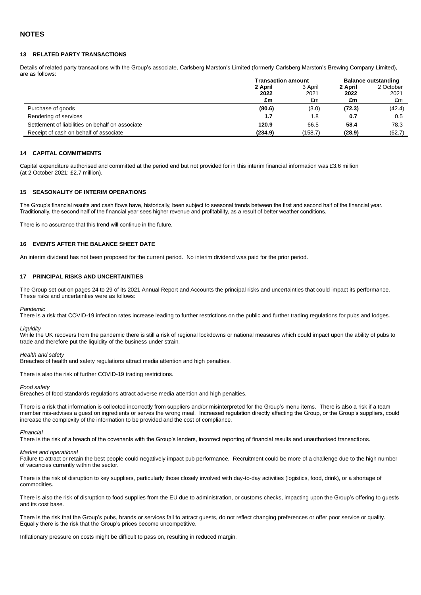#### **13 RELATED PARTY TRANSACTIONS**

Details of related party transactions with the Group's associate, Carlsberg Marston's Limited (formerly Carlsberg Marston's Brewing Company Limited), are as follows:

|                                                  | <b>Transaction amount</b> |         | <b>Balance outstanding</b> |           |  |
|--------------------------------------------------|---------------------------|---------|----------------------------|-----------|--|
|                                                  | 2 April                   | 3 April | 2 April                    | 2 October |  |
|                                                  | 2022                      | 2021    | 2022                       | 2021      |  |
|                                                  | £m                        | £m      | £m                         | £m        |  |
| Purchase of goods                                | (80.6)                    | (3.0)   | (72.3)                     | (42.4)    |  |
| Rendering of services                            | 1.7                       | 1.8     | 0.7                        | 0.5       |  |
| Settlement of liabilities on behalf on associate | 120.9                     | 66.5    | 58.4                       | 78.3      |  |
| Receipt of cash on behalf of associate           | (234.9)                   | (158.7) | (28.9)                     | (62.7)    |  |

#### **14 CAPITAL COMMITMENTS**

Capital expenditure authorised and committed at the period end but not provided for in this interim financial information was £3.6 million (at 2 October 2021: £2.7 million).

#### **15 SEASONALITY OF INTERIM OPERATIONS**

The Group's financial results and cash flows have, historically, been subject to seasonal trends between the first and second half of the financial year. Traditionally, the second half of the financial year sees higher revenue and profitability, as a result of better weather conditions.

There is no assurance that this trend will continue in the future.

#### **16 EVENTS AFTER THE BALANCE SHEET DATE**

An interim dividend has not been proposed for the current period. No interim dividend was paid for the prior period.

#### **17 PRINCIPAL RISKS AND UNCERTAINTIES**

The Group set out on pages 24 to 29 of its 2021 Annual Report and Accounts the principal risks and uncertainties that could impact its performance. These risks and uncertainties were as follows:

#### *Pandemic*

There is a risk that COVID-19 infection rates increase leading to further restrictions on the public and further trading regulations for pubs and lodges.

#### *Liquidity*

While the UK recovers from the pandemic there is still a risk of regional lockdowns or national measures which could impact upon the ability of pubs to trade and therefore put the liquidity of the business under strain.

#### *Health and safety*

Breaches of health and safety regulations attract media attention and high penalties.

There is also the risk of further COVID-19 trading restrictions.

*Food safety*

Breaches of food standards regulations attract adverse media attention and high penalties.

There is a risk that information is collected incorrectly from suppliers and/or misinterpreted for the Group's menu items. There is also a risk if a team member mis-advises a guest on ingredients or serves the wrong meal. Increased regulation directly affecting the Group, or the Group's suppliers, could increase the complexity of the information to be provided and the cost of compliance.

#### *Financial*

There is the risk of a breach of the covenants with the Group's lenders, incorrect reporting of financial results and unauthorised transactions.

#### *Market and operational*

Failure to attract or retain the best people could negatively impact pub performance. Recruitment could be more of a challenge due to the high number of vacancies currently within the sector.

There is the risk of disruption to key suppliers, particularly those closely involved with day-to-day activities (logistics, food, drink), or a shortage of commodities.

There is also the risk of disruption to food supplies from the EU due to administration, or customs checks, impacting upon the Group's offering to guests and its cost base.

There is the risk that the Group's pubs, brands or services fail to attract guests, do not reflect changing preferences or offer poor service or quality. Equally there is the risk that the Group's prices become uncompetitive.

Inflationary pressure on costs might be difficult to pass on, resulting in reduced margin.